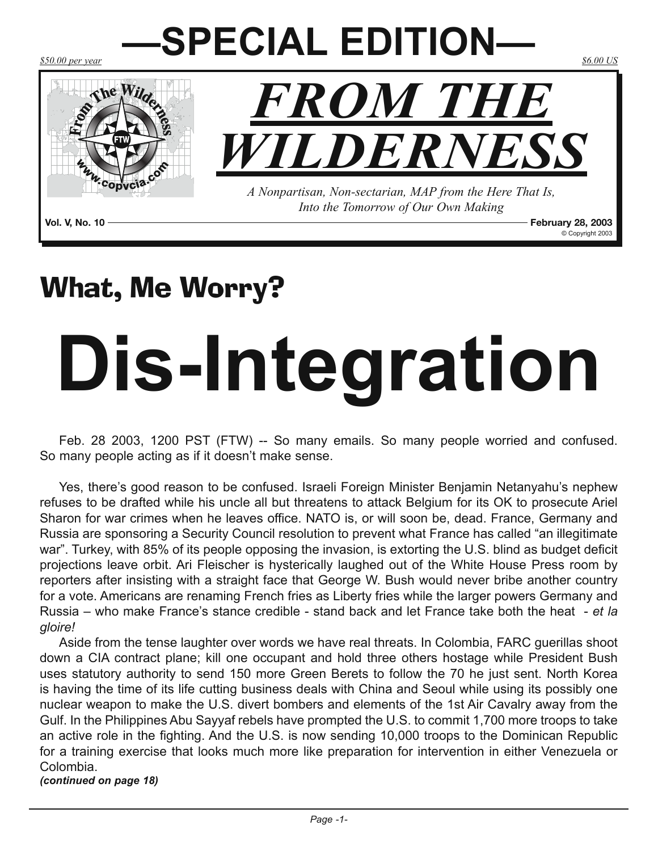

### What, Me Worry?

# **Dis-Integration**

Feb. 28 2003, 1200 PST (FTW) -- So many emails. So many people worried and confused. So many people acting as if it doesn't make sense.

Yes, there's good reason to be confused. Israeli Foreign Minister Benjamin Netanyahu's nephew refuses to be drafted while his uncle all but threatens to attack Belgium for its OK to prosecute Ariel Sharon for war crimes when he leaves office. NATO is, or will soon be, dead. France, Germany and Russia are sponsoring a Security Council resolution to prevent what France has called "an illegitimate war". Turkey, with 85% of its people opposing the invasion, is extorting the U.S. blind as budget deficit projections leave orbit. Ari Fleischer is hysterically laughed out of the White House Press room by reporters after insisting with a straight face that George W. Bush would never bribe another country for a vote. Americans are renaming French fries as Liberty fries while the larger powers Germany and Russia – who make France's stance credible - stand back and let France take both the heat - *et la gloire!*

Aside from the tense laughter over words we have real threats. In Colombia, FARC guerillas shoot down a CIA contract plane; kill one occupant and hold three others hostage while President Bush uses statutory authority to send 150 more Green Berets to follow the 70 he just sent. North Korea is having the time of its life cutting business deals with China and Seoul while using its possibly one nuclear weapon to make the U.S. divert bombers and elements of the 1st Air Cavalry away from the Gulf. In the Philippines Abu Sayyaf rebels have prompted the U.S. to commit 1,700 more troops to take an active role in the fighting. And the U.S. is now sending 10,000 troops to the Dominican Republic for a training exercise that looks much more like preparation for intervention in either Venezuela or Colombia. *(continued on page 18)*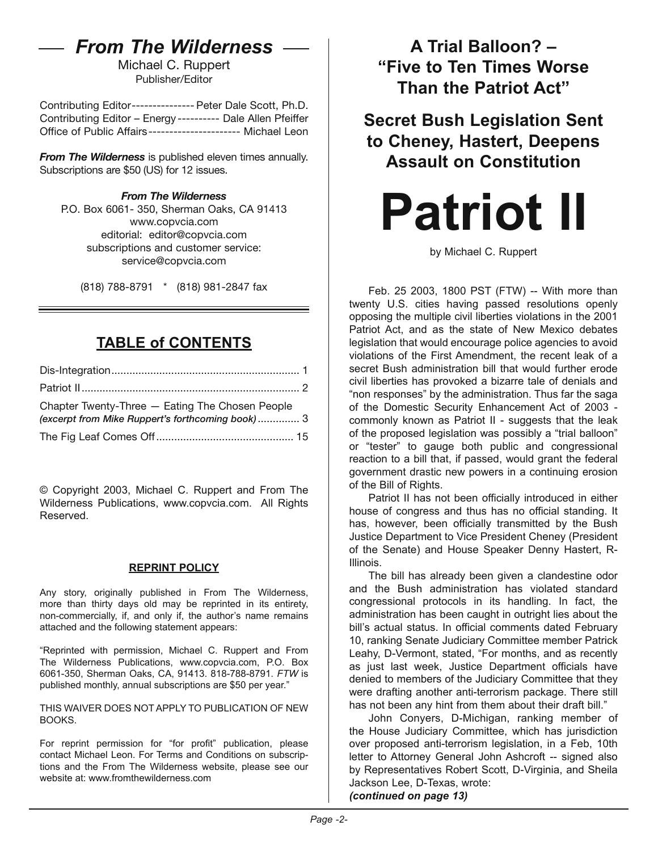### *From The Wilderness*

Michael C. Ruppert Publisher/Editor

Contributing Editor--------------- Peter Dale Scott, Ph.D. Contributing Editor – Energy ---------- Dale Allen Pfeiffer Office of Public Affairs---------------------- Michael Leon

*From The Wilderness* is published eleven times annually. Subscriptions are \$50 (US) for 12 issues.

#### *From The Wilderness*

P.O. Box 6061- 350, Sherman Oaks, CA 91413 [www.copvcia.com](http://www.copvcia.com) editorial: editor@copvcia.com subscriptions and customer service: service@copvcia.com

(818) 788-8791 \* (818) 981-2847 fax

#### **TABLE of CONTENTS**

| Chapter Twenty-Three - Eating The Chosen People<br>(excerpt from Mike Ruppert's forthcoming book)3 |  |
|----------------------------------------------------------------------------------------------------|--|
|                                                                                                    |  |

© Copyright 2003, Michael C. Ruppert and From The Wilderness Publications, www.copvcia.com. All Rights Reserved.

#### **REPRINT POLICY**

Any story, originally published in From The Wilderness, more than thirty days old may be reprinted in its entirety, non-commercially, if, and only if, the author's name remains attached and the following statement appears:

"Reprinted with permission, Michael C. Ruppert and From The Wilderness Publications, www.copvcia.com, P.O. Box 6061-350, Sherman Oaks, CA, 91413. 818-788-8791. *FTW* is published monthly, annual subscriptions are \$50 per year."

THIS WAIVER DOES NOT APPLY TO PUBLICATION OF NEW BOOKS.

For reprint permission for "for profit" publication, please contact Michael Leon. For Terms and Conditions on subscriptions and the From The Wilderness website, please see our website at: www.fromthewilderness.com

**A Trial Balloon? – "Five to Ten Times Worse Than the Patriot Act"**

**Secret Bush Legislation Sent to Cheney, Hastert, Deepens Assault on Constitution** 

# **Patriot II**

by Michael C. Ruppert

Feb. 25 2003, 1800 PST (FTW) -- With more than twenty U.S. cities having passed resolutions openly opposing the multiple civil liberties violations in the 2001 Patriot Act, and as the state of New Mexico debates legislation that would encourage police agencies to avoid violations of the First Amendment, the recent leak of a secret Bush administration bill that would further erode civil liberties has provoked a bizarre tale of denials and "non responses" by the administration. Thus far the saga of the Domestic Security Enhancement Act of 2003 commonly known as Patriot II - suggests that the leak of the proposed legislation was possibly a "trial balloon" or "tester" to gauge both public and congressional reaction to a bill that, if passed, would grant the federal government drastic new powers in a continuing erosion of the Bill of Rights.

Patriot II has not been officially introduced in either house of congress and thus has no official standing. It has, however, been officially transmitted by the Bush Justice Department to Vice President Cheney (President of the Senate) and House Speaker Denny Hastert, R-Illinois.

The bill has already been given a clandestine odor and the Bush administration has violated standard congressional protocols in its handling. In fact, the administration has been caught in outright lies about the bill's actual status. In official comments dated February 10, ranking Senate Judiciary Committee member Patrick Leahy, D-Vermont, stated, "For months, and as recently as just last week, Justice Department officials have denied to members of the Judiciary Committee that they were drafting another anti-terrorism package. There still has not been any hint from them about their draft bill."

John Conyers, D-Michigan, ranking member of the House Judiciary Committee, which has jurisdiction over proposed anti-terrorism legislation, in a Feb, 10th letter to Attorney General John Ashcroft -- signed also by Representatives Robert Scott, D-Virginia, and Sheila Jackson Lee, D-Texas, wrote: *(continued on page 13)*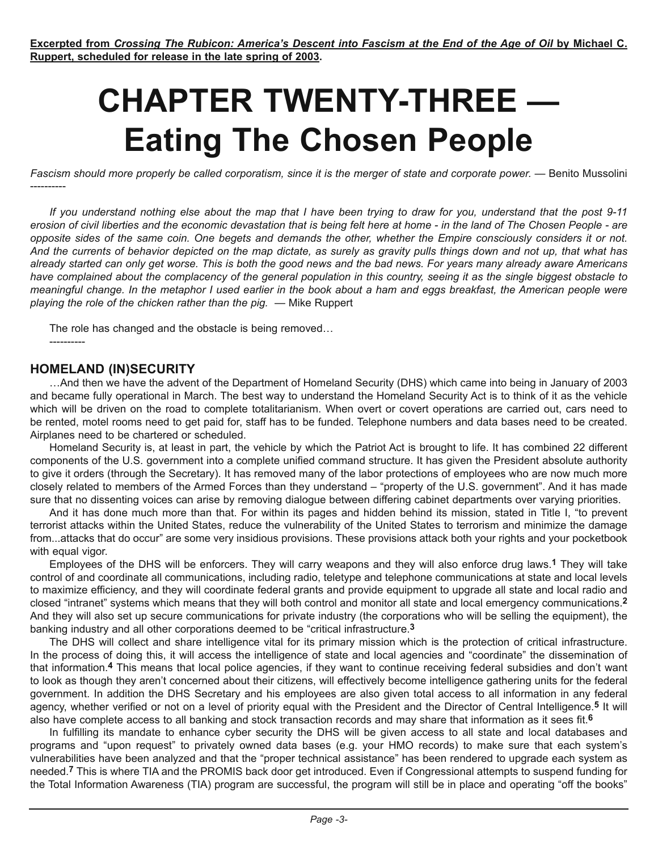## **CHAPTER TWENTY-THREE — Eating The Chosen People**

*Fascism should more properly be called corporatism, since it is the merger of state and corporate power.* — Benito Mussolini

*If you understand nothing else about the map that I have been trying to draw for you, understand that the post 9-11 erosion of civil liberties and the economic devastation that is being felt here at home - in the land of The Chosen People - are opposite sides of the same coin. One begets and demands the other, whether the Empire consciously considers it or not. And the currents of behavior depicted on the map dictate, as surely as gravity pulls things down and not up, that what has already started can only get worse. This is both the good news and the bad news. For years many already aware Americans have complained about the complacency of the general population in this country, seeing it as the single biggest obstacle to meaningful change. In the metaphor I used earlier in the book about a ham and eggs breakfast, the American people were playing the role of the chicken rather than the pig.* — Mike Ruppert

The role has changed and the obstacle is being removed…

#### **HOMELAND (IN)SECURITY**

----------

…And then we have the advent of the Department of Homeland Security (DHS) which came into being in January of 2003 and became fully operational in March. The best way to understand the Homeland Security Act is to think of it as the vehicle which will be driven on the road to complete totalitarianism. When overt or covert operations are carried out, cars need to be rented, motel rooms need to get paid for, staff has to be funded. Telephone numbers and data bases need to be created. Airplanes need to be chartered or scheduled.

Homeland Security is, at least in part, the vehicle by which the Patriot Act is brought to life. It has combined 22 different components of the U.S. government into a complete unified command structure. It has given the President absolute authority to give it orders (through the Secretary). It has removed many of the labor protections of employees who are now much more closely related to members of the Armed Forces than they understand – "property of the U.S. government". And it has made sure that no dissenting voices can arise by removing dialogue between differing cabinet departments over varying priorities.

And it has done much more than that. For within its pages and hidden behind its mission, stated in Title I, "to prevent terrorist attacks within the United States, reduce the vulnerability of the United States to terrorism and minimize the damage from...attacks that do occur" are some very insidious provisions. These provisions attack both your rights and your pocketbook with equal vigor.

Employees of the DHS will be enforcers. They will carry weapons and they will also enforce drug laws.**1** They will take control of and coordinate all communications, including radio, teletype and telephone communications at state and local levels to maximize efficiency, and they will coordinate federal grants and provide equipment to upgrade all state and local radio and closed "intranet" systems which means that they will both control and monitor all state and local emergency communications.**2** And they will also set up secure communications for private industry (the corporations who will be selling the equipment), the banking industry and all other corporations deemed to be "critical infrastructure.**3**

The DHS will collect and share intelligence vital for its primary mission which is the protection of critical infrastructure. In the process of doing this, it will access the intelligence of state and local agencies and "coordinate" the dissemination of that information.**4** This means that local police agencies, if they want to continue receiving federal subsidies and don't want to look as though they aren't concerned about their citizens, will effectively become intelligence gathering units for the federal government. In addition the DHS Secretary and his employees are also given total access to all information in any federal agency, whether verified or not on a level of priority equal with the President and the Director of Central Intelligence.**5** It will also have complete access to all banking and stock transaction records and may share that information as it sees fit.**6**

In fulfilling its mandate to enhance cyber security the DHS will be given access to all state and local databases and programs and "upon request" to privately owned data bases (e.g. your HMO records) to make sure that each system's vulnerabilities have been analyzed and that the "proper technical assistance" has been rendered to upgrade each system as needed.**7** This is where TIA and the PROMIS back door get introduced. Even if Congressional attempts to suspend funding for the Total Information Awareness (TIA) program are successful, the program will still be in place and operating "off the books"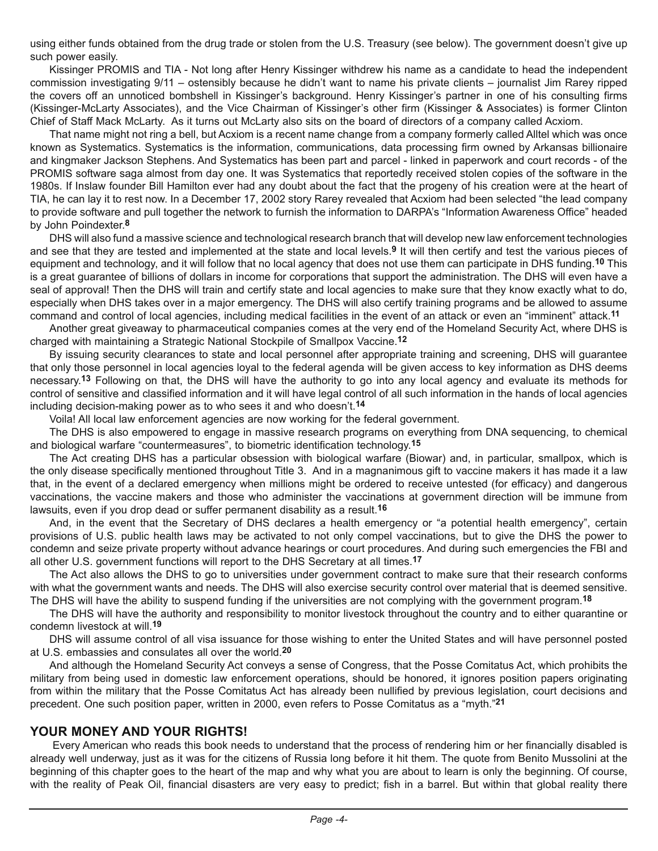using either funds obtained from the drug trade or stolen from the U.S. Treasury (see below). The government doesn't give up such power easily.

Kissinger PROMIS and TIA - Not long after Henry Kissinger withdrew his name as a candidate to head the independent commission investigating 9/11 – ostensibly because he didn't want to name his private clients – journalist Jim Rarey ripped the covers off an unnoticed bombshell in Kissinger's background. Henry Kissinger's partner in one of his consulting firms (Kissinger-McLarty Associates), and the Vice Chairman of Kissinger's other firm (Kissinger & Associates) is former Clinton Chief of Staff Mack McLarty. As it turns out McLarty also sits on the board of directors of a company called Acxiom.

That name might not ring a bell, but Acxiom is a recent name change from a company formerly called Alltel which was once known as Systematics. Systematics is the information, communications, data processing firm owned by Arkansas billionaire and kingmaker Jackson Stephens. And Systematics has been part and parcel - linked in paperwork and court records - of the PROMIS software saga almost from day one. It was Systematics that reportedly received stolen copies of the software in the 1980s. If Inslaw founder Bill Hamilton ever had any doubt about the fact that the progeny of his creation were at the heart of TIA, he can lay it to rest now. In a December 17, 2002 story Rarey revealed that Acxiom had been selected "the lead company to provide software and pull together the network to furnish the information to DARPA's "Information Awareness Office" headed by John Poindexter.**8**

DHS will also fund a massive science and technological research branch that will develop new law enforcement technologies and see that they are tested and implemented at the state and local levels.**9** It will then certify and test the various pieces of equipment and technology, and it will follow that no local agency that does not use them can participate in DHS funding.**10** This is a great guarantee of billions of dollars in income for corporations that support the administration. The DHS will even have a seal of approval! Then the DHS will train and certify state and local agencies to make sure that they know exactly what to do, especially when DHS takes over in a major emergency. The DHS will also certify training programs and be allowed to assume command and control of local agencies, including medical facilities in the event of an attack or even an "imminent" attack.**11**

Another great giveaway to pharmaceutical companies comes at the very end of the Homeland Security Act, where DHS is charged with maintaining a Strategic National Stockpile of Smallpox Vaccine.**12**

By issuing security clearances to state and local personnel after appropriate training and screening, DHS will guarantee that only those personnel in local agencies loyal to the federal agenda will be given access to key information as DHS deems necessary.**13** Following on that, the DHS will have the authority to go into any local agency and evaluate its methods for control of sensitive and classified information and it will have legal control of all such information in the hands of local agencies including decision-making power as to who sees it and who doesn't.**14**

Voila! All local law enforcement agencies are now working for the federal government.

The DHS is also empowered to engage in massive research programs on everything from DNA sequencing, to chemical and biological warfare "countermeasures", to biometric identification technology.**15**

The Act creating DHS has a particular obsession with biological warfare (Biowar) and, in particular, smallpox, which is the only disease specifically mentioned throughout Title 3. And in a magnanimous gift to vaccine makers it has made it a law that, in the event of a declared emergency when millions might be ordered to receive untested (for efficacy) and dangerous vaccinations, the vaccine makers and those who administer the vaccinations at government direction will be immune from lawsuits, even if you drop dead or suffer permanent disability as a result.**16**

And, in the event that the Secretary of DHS declares a health emergency or "a potential health emergency", certain provisions of U.S. public health laws may be activated to not only compel vaccinations, but to give the DHS the power to condemn and seize private property without advance hearings or court procedures. And during such emergencies the FBI and all other U.S. government functions will report to the DHS Secretary at all times.**17**

The Act also allows the DHS to go to universities under government contract to make sure that their research conforms with what the government wants and needs. The DHS will also exercise security control over material that is deemed sensitive. The DHS will have the ability to suspend funding if the universities are not complying with the government program.**18**

The DHS will have the authority and responsibility to monitor livestock throughout the country and to either quarantine or condemn livestock at will.**19**

DHS will assume control of all visa issuance for those wishing to enter the United States and will have personnel posted at U.S. embassies and consulates all over the world.**20**

And although the Homeland Security Act conveys a sense of Congress, that the Posse Comitatus Act, which prohibits the military from being used in domestic law enforcement operations, should be honored, it ignores position papers originating from within the military that the Posse Comitatus Act has already been nullified by previous legislation, court decisions and precedent. One such position paper, written in 2000, even refers to Posse Comitatus as a "myth."**21**

#### **YOUR MONEY AND YOUR RIGHTS!**

 Every American who reads this book needs to understand that the process of rendering him or her financially disabled is already well underway, just as it was for the citizens of Russia long before it hit them. The quote from Benito Mussolini at the beginning of this chapter goes to the heart of the map and why what you are about to learn is only the beginning. Of course, with the reality of Peak Oil, financial disasters are very easy to predict; fish in a barrel. But within that global reality there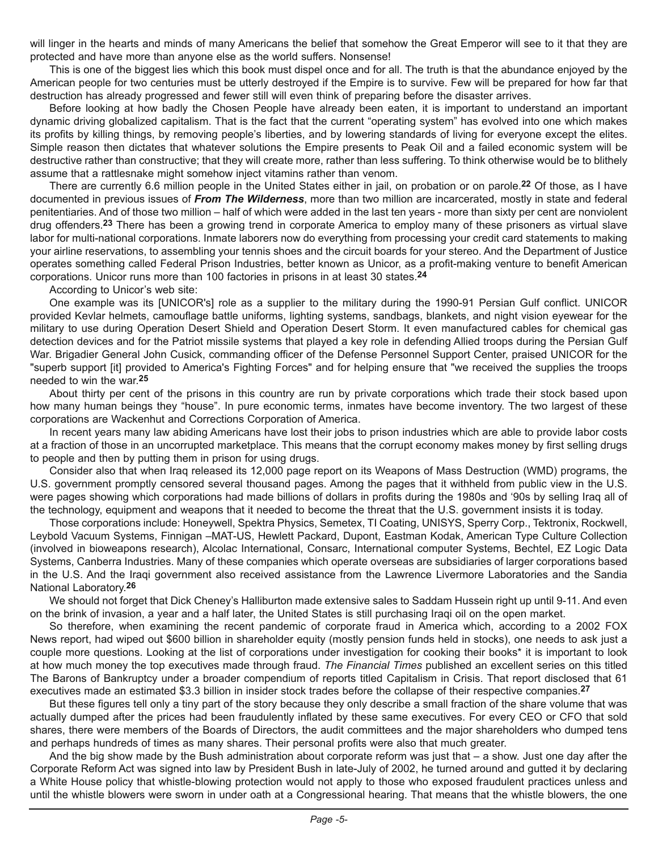will linger in the hearts and minds of many Americans the belief that somehow the Great Emperor will see to it that they are protected and have more than anyone else as the world suffers. Nonsense!

This is one of the biggest lies which this book must dispel once and for all. The truth is that the abundance enjoyed by the American people for two centuries must be utterly destroyed if the Empire is to survive. Few will be prepared for how far that destruction has already progressed and fewer still will even think of preparing before the disaster arrives.

Before looking at how badly the Chosen People have already been eaten, it is important to understand an important dynamic driving globalized capitalism. That is the fact that the current "operating system" has evolved into one which makes its profits by killing things, by removing people's liberties, and by lowering standards of living for everyone except the elites. Simple reason then dictates that whatever solutions the Empire presents to Peak Oil and a failed economic system will be destructive rather than constructive; that they will create more, rather than less suffering. To think otherwise would be to blithely assume that a rattlesnake might somehow inject vitamins rather than venom.

There are currently 6.6 million people in the United States either in jail, on probation or on parole.**22** Of those, as I have documented in previous issues of *From The Wilderness*, more than two million are incarcerated, mostly in state and federal penitentiaries. And of those two million – half of which were added in the last ten years - more than sixty per cent are nonviolent drug offenders.**23** There has been a growing trend in corporate America to employ many of these prisoners as virtual slave labor for multi-national corporations. Inmate laborers now do everything from processing your credit card statements to making your airline reservations, to assembling your tennis shoes and the circuit boards for your stereo. And the Department of Justice operates something called Federal Prison Industries, better known as Unicor, as a profit-making venture to benefit American corporations. Unicor runs more than 100 factories in prisons in at least 30 states.**24**

According to Unicor's web site:

One example was its [UNICOR's] role as a supplier to the military during the 1990-91 Persian Gulf conflict. UNICOR provided Kevlar helmets, camouflage battle uniforms, lighting systems, sandbags, blankets, and night vision eyewear for the military to use during Operation Desert Shield and Operation Desert Storm. It even manufactured cables for chemical gas detection devices and for the Patriot missile systems that played a key role in defending Allied troops during the Persian Gulf War. Brigadier General John Cusick, commanding officer of the Defense Personnel Support Center, praised UNICOR for the "superb support [it] provided to America's Fighting Forces" and for helping ensure that "we received the supplies the troops needed to win the war.**25**

About thirty per cent of the prisons in this country are run by private corporations which trade their stock based upon how many human beings they "house". In pure economic terms, inmates have become inventory. The two largest of these corporations are Wackenhut and Corrections Corporation of America.

In recent years many law abiding Americans have lost their jobs to prison industries which are able to provide labor costs at a fraction of those in an uncorrupted marketplace. This means that the corrupt economy makes money by first selling drugs to people and then by putting them in prison for using drugs.

Consider also that when Iraq released its 12,000 page report on its Weapons of Mass Destruction (WMD) programs, the U.S. government promptly censored several thousand pages. Among the pages that it withheld from public view in the U.S. were pages showing which corporations had made billions of dollars in profits during the 1980s and '90s by selling Iraq all of the technology, equipment and weapons that it needed to become the threat that the U.S. government insists it is today.

Those corporations include: Honeywell, Spektra Physics, Semetex, TI Coating, UNISYS, Sperry Corp., Tektronix, Rockwell, Leybold Vacuum Systems, Finnigan –MAT-US, Hewlett Packard, Dupont, Eastman Kodak, American Type Culture Collection (involved in bioweapons research), Alcolac International, Consarc, International computer Systems, Bechtel, EZ Logic Data Systems, Canberra Industries. Many of these companies which operate overseas are subsidiaries of larger corporations based in the U.S. And the Iraqi government also received assistance from the Lawrence Livermore Laboratories and the Sandia National Laboratory.**26**

We should not forget that Dick Cheney's Halliburton made extensive sales to Saddam Hussein right up until 9-11. And even on the brink of invasion, a year and a half later, the United States is still purchasing Iraqi oil on the open market.

So therefore, when examining the recent pandemic of corporate fraud in America which, according to a 2002 FOX News report, had wiped out \$600 billion in shareholder equity (mostly pension funds held in stocks), one needs to ask just a couple more questions. Looking at the list of corporations under investigation for cooking their books\* it is important to look at how much money the top executives made through fraud. *The Financial Times* published an excellent series on this titled The Barons of Bankruptcy under a broader compendium of reports titled Capitalism in Crisis. That report disclosed that 61 executives made an estimated \$3.3 billion in insider stock trades before the collapse of their respective companies.**27**

But these figures tell only a tiny part of the story because they only describe a small fraction of the share volume that was actually dumped after the prices had been fraudulently inflated by these same executives. For every CEO or CFO that sold shares, there were members of the Boards of Directors, the audit committees and the major shareholders who dumped tens and perhaps hundreds of times as many shares. Their personal profits were also that much greater.

And the big show made by the Bush administration about corporate reform was just that – a show. Just one day after the Corporate Reform Act was signed into law by President Bush in late-July of 2002, he turned around and gutted it by declaring a White House policy that whistle-blowing protection would not apply to those who exposed fraudulent practices unless and until the whistle blowers were sworn in under oath at a Congressional hearing. That means that the whistle blowers, the one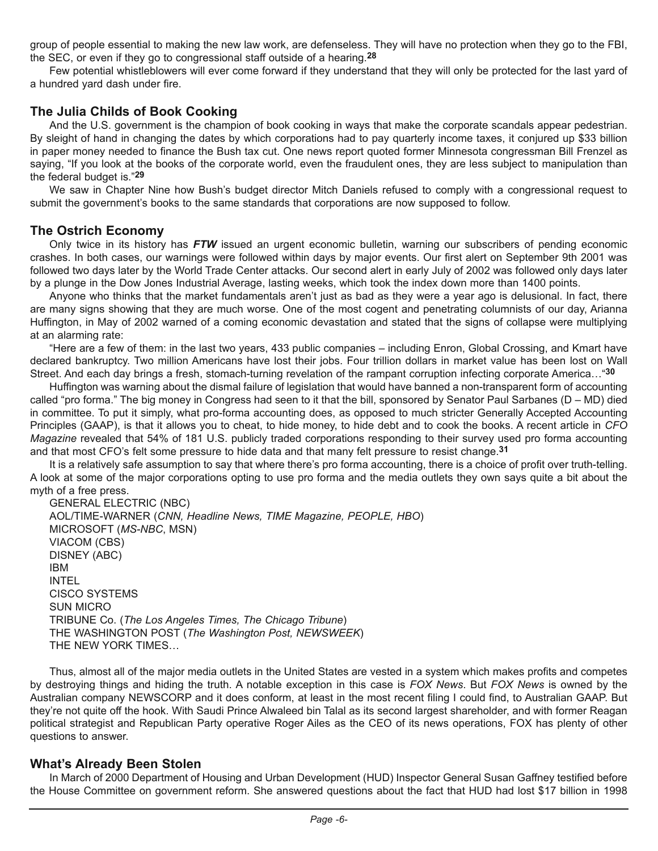group of people essential to making the new law work, are defenseless. They will have no protection when they go to the FBI, the SEC, or even if they go to congressional staff outside of a hearing.**28**

Few potential whistleblowers will ever come forward if they understand that they will only be protected for the last yard of a hundred yard dash under fire.

#### **The Julia Childs of Book Cooking**

And the U.S. government is the champion of book cooking in ways that make the corporate scandals appear pedestrian. By sleight of hand in changing the dates by which corporations had to pay quarterly income taxes, it conjured up \$33 billion in paper money needed to finance the Bush tax cut. One news report quoted former Minnesota congressman Bill Frenzel as saying, "If you look at the books of the corporate world, even the fraudulent ones, they are less subject to manipulation than the federal budget is."**29**

We saw in Chapter Nine how Bush's budget director Mitch Daniels refused to comply with a congressional request to submit the government's books to the same standards that corporations are now supposed to follow.

#### **The Ostrich Economy**

Only twice in its history has *FTW* issued an urgent economic bulletin, warning our subscribers of pending economic crashes. In both cases, our warnings were followed within days by major events. Our first alert on September 9th 2001 was followed two days later by the World Trade Center attacks. Our second alert in early July of 2002 was followed only days later by a plunge in the Dow Jones Industrial Average, lasting weeks, which took the index down more than 1400 points.

Anyone who thinks that the market fundamentals aren't just as bad as they were a year ago is delusional. In fact, there are many signs showing that they are much worse. One of the most cogent and penetrating columnists of our day, Arianna Huffington, in May of 2002 warned of a coming economic devastation and stated that the signs of collapse were multiplying at an alarming rate:

"Here are a few of them: in the last two years, 433 public companies – including Enron, Global Crossing, and Kmart have declared bankruptcy. Two million Americans have lost their jobs. Four trillion dollars in market value has been lost on Wall Street. And each day brings a fresh, stomach-turning revelation of the rampant corruption infecting corporate America…"**30**

Huffington was warning about the dismal failure of legislation that would have banned a non-transparent form of accounting called "pro forma." The big money in Congress had seen to it that the bill, sponsored by Senator Paul Sarbanes (D – MD) died in committee. To put it simply, what pro-forma accounting does, as opposed to much stricter Generally Accepted Accounting Principles (GAAP), is that it allows you to cheat, to hide money, to hide debt and to cook the books. A recent article in *CFO Magazine* revealed that 54% of 181 U.S. publicly traded corporations responding to their survey used pro forma accounting and that most CFO's felt some pressure to hide data and that many felt pressure to resist change.**31**

It is a relatively safe assumption to say that where there's pro forma accounting, there is a choice of profit over truth-telling. A look at some of the major corporations opting to use pro forma and the media outlets they own says quite a bit about the myth of a free press.

GENERAL ELECTRIC (NBC) AOL/TIME-WARNER (*CNN, Headline News, TIME Magazine, PEOPLE, HBO*) MICROSOFT (*MS-NBC*, MSN) VIACOM (CBS) DISNEY (ABC) IBM INTEL CISCO SYSTEMS SUN MICRO TRIBUNE Co. (*The Los Angeles Times, The Chicago Tribune*) THE WASHINGTON POST (*The Washington Post, NEWSWEEK*) THE NEW YORK TIMES…

Thus, almost all of the major media outlets in the United States are vested in a system which makes profits and competes by destroying things and hiding the truth. A notable exception in this case is *FOX News*. But *FOX News* is owned by the Australian company NEWSCORP and it does conform, at least in the most recent filing I could find, to Australian GAAP. But they're not quite off the hook. With Saudi Prince Alwaleed bin Talal as its second largest shareholder, and with former Reagan political strategist and Republican Party operative Roger Ailes as the CEO of its news operations, FOX has plenty of other questions to answer.

#### **What's Already Been Stolen**

In March of 2000 Department of Housing and Urban Development (HUD) Inspector General Susan Gaffney testified before the House Committee on government reform. She answered questions about the fact that HUD had lost \$17 billion in 1998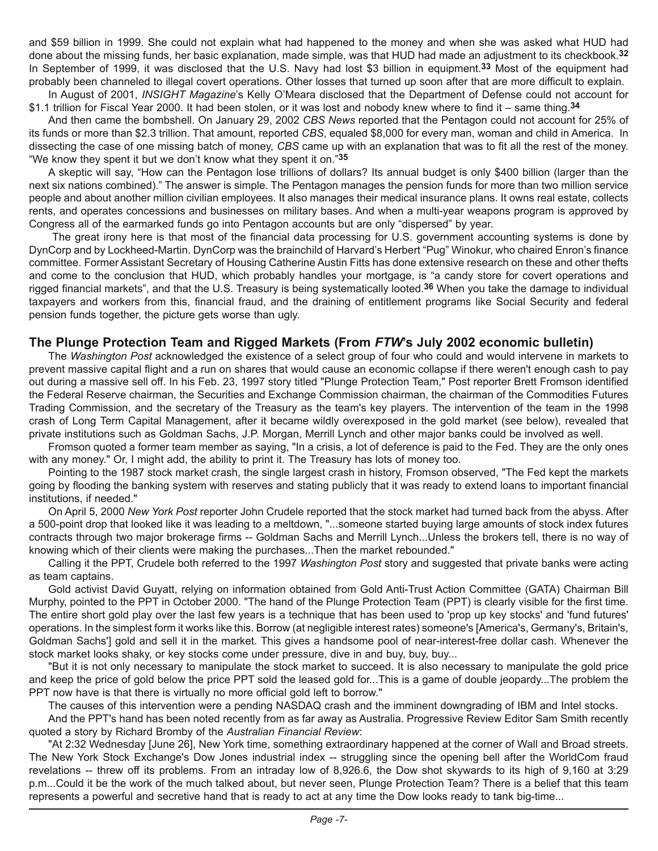and \$59 billion in 1999. She could not explain what had happened to the money and when she was asked what HUD had done about the missing funds, her basic explanation, made simple, was that HUD had made an adjustment to its checkbook.**32** In September of 1999, it was disclosed that the U.S. Navy had lost \$3 billion in equipment.**33** Most of the equipment had probably been channeled to illegal covert operations. Other losses that turned up soon after that are more difficult to explain.

In August of 2001, *INSIGHT Magazine*'s Kelly O'Meara disclosed that the Department of Defense could not account for \$1.1 trillion for Fiscal Year 2000. It had been stolen, or it was lost and nobody knew where to find it – same thing.**34**

And then came the bombshell. On January 29, 2002 *CBS News* reported that the Pentagon could not account for 25% of its funds or more than \$2.3 trillion. That amount, reported *CBS*, equaled \$8,000 for every man, woman and child in America. In dissecting the case of one missing batch of money, *CBS* came up with an explanation that was to fit all the rest of the money. "We know they spent it but we don't know what they spent it on."**35**

A skeptic will say, "How can the Pentagon lose trillions of dollars? Its annual budget is only \$400 billion (larger than the next six nations combined)." The answer is simple. The Pentagon manages the pension funds for more than two million service people and about another million civilian employees. It also manages their medical insurance plans. It owns real estate, collects rents, and operates concessions and businesses on military bases. And when a multi-year weapons program is approved by Congress all of the earmarked funds go into Pentagon accounts but are only "dispersed" by year.

 The great irony here is that most of the financial data processing for U.S. government accounting systems is done by DynCorp and by Lockheed-Martin. DynCorp was the brainchild of Harvard's Herbert "Pug" Winokur, who chaired Enron's finance committee. Former Assistant Secretary of Housing Catherine Austin Fitts has done extensive research on these and other thefts and come to the conclusion that HUD, which probably handles your mortgage, is "a candy store for covert operations and rigged financial markets", and that the U.S. Treasury is being systematically looted.**36** When you take the damage to individual taxpayers and workers from this, financial fraud, and the draining of entitlement programs like Social Security and federal pension funds together, the picture gets worse than ugly.

#### **The Plunge Protection Team and Rigged Markets (From** *FTW***'s July 2002 economic bulletin)**

The *Washington Post* acknowledged the existence of a select group of four who could and would intervene in markets to prevent massive capital flight and a run on shares that would cause an economic collapse if there weren't enough cash to pay out during a massive sell off. In his Feb. 23, 1997 story titled "Plunge Protection Team," Post reporter Brett Fromson identified the Federal Reserve chairman, the Securities and Exchange Commission chairman, the chairman of the Commodities Futures Trading Commission, and the secretary of the Treasury as the team's key players. The intervention of the team in the 1998 crash of Long Term Capital Management, after it became wildly overexposed in the gold market (see below), revealed that private institutions such as Goldman Sachs, J.P. Morgan, Merrill Lynch and other major banks could be involved as well.

Fromson quoted a former team member as saying, "In a crisis, a lot of deference is paid to the Fed. They are the only ones with any money." Or, I might add, the ability to print it. The Treasury has lots of money too.

Pointing to the 1987 stock market crash, the single largest crash in history, Fromson observed, "The Fed kept the markets going by flooding the banking system with reserves and stating publicly that it was ready to extend loans to important financial institutions, if needed."

On April 5, 2000 *New York Post* reporter John Crudele reported that the stock market had turned back from the abyss. After a 500-point drop that looked like it was leading to a meltdown, "...someone started buying large amounts of stock index futures contracts through two major brokerage firms -- Goldman Sachs and Merrill Lynch...Unless the brokers tell, there is no way of knowing which of their clients were making the purchases...Then the market rebounded."

Calling it the PPT, Crudele both referred to the 1997 *Washington Post* story and suggested that private banks were acting as team captains.

Gold activist David Guyatt, relying on information obtained from Gold Anti-Trust Action Committee (GATA) Chairman Bill Murphy, pointed to the PPT in October 2000. "The hand of the Plunge Protection Team (PPT) is clearly visible for the first time. The entire short gold play over the last few years is a technique that has been used to 'prop up key stocks' and 'fund futures' operations. In the simplest form it works like this. Borrow (at negligible interest rates) someone's [America's, Germany's, Britain's, Goldman Sachs'] gold and sell it in the market. This gives a handsome pool of near-interest-free dollar cash. Whenever the stock market looks shaky, or key stocks come under pressure, dive in and buy, buy, buy...

"But it is not only necessary to manipulate the stock market to succeed. It is also necessary to manipulate the gold price and keep the price of gold below the price PPT sold the leased gold for...This is a game of double jeopardy...The problem the PPT now have is that there is virtually no more official gold left to borrow."

The causes of this intervention were a pending NASDAQ crash and the imminent downgrading of IBM and Intel stocks.

And the PPT's hand has been noted recently from as far away as Australia. Progressive Review Editor Sam Smith recently quoted a story by Richard Bromby of the *Australian Financial Review*:

"At 2:32 Wednesday [June 26], New York time, something extraordinary happened at the corner of Wall and Broad streets. The New York Stock Exchange's Dow Jones industrial index -- struggling since the opening bell after the WorldCom fraud revelations -- threw off its problems. From an intraday low of 8,926.6, the Dow shot skywards to its high of 9,160 at 3:29 p.m...Could it be the work of the much talked about, but never seen, Plunge Protection Team? There is a belief that this team represents a powerful and secretive hand that is ready to act at any time the Dow looks ready to tank big-time...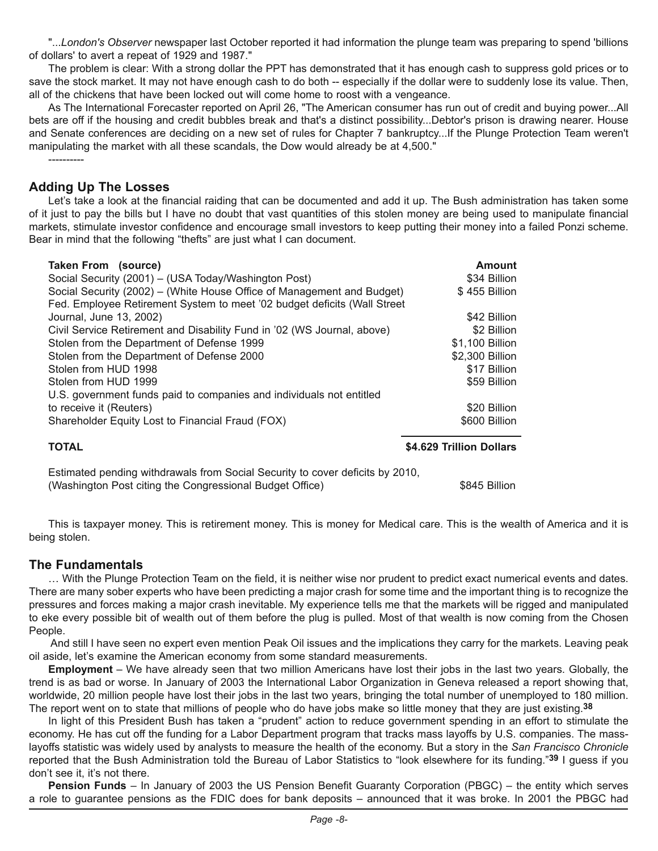"...*London's Observer* newspaper last October reported it had information the plunge team was preparing to spend 'billions of dollars' to avert a repeat of 1929 and 1987."

The problem is clear: With a strong dollar the PPT has demonstrated that it has enough cash to suppress gold prices or to save the stock market. It may not have enough cash to do both -- especially if the dollar were to suddenly lose its value. Then, all of the chickens that have been locked out will come home to roost with a vengeance.

As The International Forecaster reported on April 26, "The American consumer has run out of credit and buying power...All bets are off if the housing and credit bubbles break and that's a distinct possibility...Debtor's prison is drawing nearer. House and Senate conferences are deciding on a new set of rules for Chapter 7 bankruptcy...If the Plunge Protection Team weren't manipulating the market with all these scandals, the Dow would already be at 4,500."

#### **Adding Up The Losses**

----------

Let's take a look at the financial raiding that can be documented and add it up. The Bush administration has taken some of it just to pay the bills but I have no doubt that vast quantities of this stolen money are being used to manipulate financial markets, stimulate investor confidence and encourage small investors to keep putting their money into a failed Ponzi scheme. Bear in mind that the following "thefts" are just what I can document.

| <b>Taken From (source)</b>                                               | Amount                   |
|--------------------------------------------------------------------------|--------------------------|
| Social Security (2001) – (USA Today/Washington Post)                     | \$34 Billion             |
| Social Security (2002) – (White House Office of Management and Budget)   | \$455 Billion            |
| Fed. Employee Retirement System to meet '02 budget deficits (Wall Street |                          |
| Journal, June 13, 2002)                                                  | \$42 Billion             |
| Civil Service Retirement and Disability Fund in '02 (WS Journal, above)  | \$2 Billion              |
| Stolen from the Department of Defense 1999                               | \$1,100 Billion          |
| Stolen from the Department of Defense 2000                               | \$2,300 Billion          |
| Stolen from HUD 1998                                                     | \$17 Billion             |
| Stolen from HUD 1999                                                     | \$59 Billion             |
| U.S. government funds paid to companies and individuals not entitled     |                          |
| to receive it (Reuters)                                                  | \$20 Billion             |
| Shareholder Equity Lost to Financial Fraud (FOX)                         | \$600 Billion            |
| <b>TOTAL</b>                                                             | \$4.629 Trillion Dollars |
|                                                                          |                          |

Estimated pending withdrawals from Social Security to cover deficits by 2010, (Washington Post citing the Congressional Budget Office) \$845 Billion

This is taxpayer money. This is retirement money. This is money for Medical care. This is the wealth of America and it is being stolen.

#### **The Fundamentals**

… With the Plunge Protection Team on the field, it is neither wise nor prudent to predict exact numerical events and dates. There are many sober experts who have been predicting a major crash for some time and the important thing is to recognize the pressures and forces making a major crash inevitable. My experience tells me that the markets will be rigged and manipulated to eke every possible bit of wealth out of them before the plug is pulled. Most of that wealth is now coming from the Chosen People.

 And still I have seen no expert even mention Peak Oil issues and the implications they carry for the markets. Leaving peak oil aside, let's examine the American economy from some standard measurements.

**Employment** – We have already seen that two million Americans have lost their jobs in the last two years. Globally, the trend is as bad or worse. In January of 2003 the International Labor Organization in Geneva released a report showing that, worldwide, 20 million people have lost their jobs in the last two years, bringing the total number of unemployed to 180 million. The report went on to state that millions of people who do have jobs make so little money that they are just existing.**38**

In light of this President Bush has taken a "prudent" action to reduce government spending in an effort to stimulate the economy. He has cut off the funding for a Labor Department program that tracks mass layoffs by U.S. companies. The masslayoffs statistic was widely used by analysts to measure the health of the economy. But a story in the *San Francisco Chronicle* reported that the Bush Administration told the Bureau of Labor Statistics to "look elsewhere for its funding."**39** I guess if you don't see it, it's not there.

**Pension Funds** – In January of 2003 the US Pension Benefit Guaranty Corporation (PBGC) – the entity which serves a role to guarantee pensions as the FDIC does for bank deposits – announced that it was broke. In 2001 the PBGC had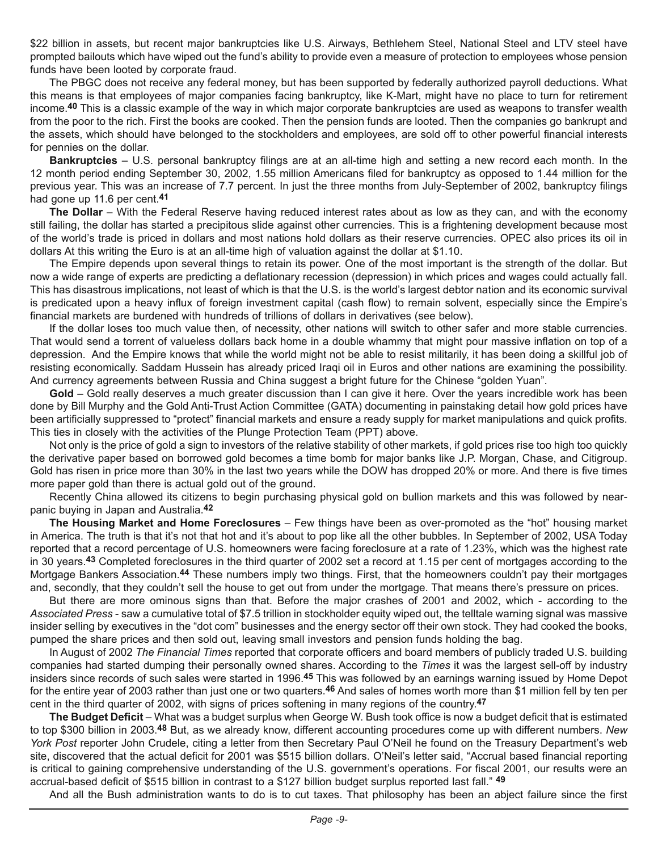\$22 billion in assets, but recent major bankruptcies like U.S. Airways, Bethlehem Steel, National Steel and LTV steel have prompted bailouts which have wiped out the fund's ability to provide even a measure of protection to employees whose pension funds have been looted by corporate fraud.

The PBGC does not receive any federal money, but has been supported by federally authorized payroll deductions. What this means is that employees of major companies facing bankruptcy, like K-Mart, might have no place to turn for retirement income.**40** This is a classic example of the way in which major corporate bankruptcies are used as weapons to transfer wealth from the poor to the rich. First the books are cooked. Then the pension funds are looted. Then the companies go bankrupt and the assets, which should have belonged to the stockholders and employees, are sold off to other powerful financial interests for pennies on the dollar.

**Bankruptcies** – U.S. personal bankruptcy filings are at an all-time high and setting a new record each month. In the 12 month period ending September 30, 2002, 1.55 million Americans filed for bankruptcy as opposed to 1.44 million for the previous year. This was an increase of 7.7 percent. In just the three months from July-September of 2002, bankruptcy filings had gone up 11.6 per cent.**41**

**The Dollar** – With the Federal Reserve having reduced interest rates about as low as they can, and with the economy still failing, the dollar has started a precipitous slide against other currencies. This is a frightening development because most of the world's trade is priced in dollars and most nations hold dollars as their reserve currencies. OPEC also prices its oil in dollars At this writing the Euro is at an all-time high of valuation against the dollar at \$1.10.

The Empire depends upon several things to retain its power. One of the most important is the strength of the dollar. But now a wide range of experts are predicting a deflationary recession (depression) in which prices and wages could actually fall. This has disastrous implications, not least of which is that the U.S. is the world's largest debtor nation and its economic survival is predicated upon a heavy influx of foreign investment capital (cash flow) to remain solvent, especially since the Empire's financial markets are burdened with hundreds of trillions of dollars in derivatives (see below).

If the dollar loses too much value then, of necessity, other nations will switch to other safer and more stable currencies. That would send a torrent of valueless dollars back home in a double whammy that might pour massive inflation on top of a depression. And the Empire knows that while the world might not be able to resist militarily, it has been doing a skillful job of resisting economically. Saddam Hussein has already priced Iraqi oil in Euros and other nations are examining the possibility. And currency agreements between Russia and China suggest a bright future for the Chinese "golden Yuan".

Gold – Gold really deserves a much greater discussion than I can give it here. Over the years incredible work has been done by Bill Murphy and the Gold Anti-Trust Action Committee (GATA) documenting in painstaking detail how gold prices have been artificially suppressed to "protect" financial markets and ensure a ready supply for market manipulations and quick profits. This ties in closely with the activities of the Plunge Protection Team (PPT) above.

Not only is the price of gold a sign to investors of the relative stability of other markets, if gold prices rise too high too quickly the derivative paper based on borrowed gold becomes a time bomb for major banks like J.P. Morgan, Chase, and Citigroup. Gold has risen in price more than 30% in the last two years while the DOW has dropped 20% or more. And there is five times more paper gold than there is actual gold out of the ground.

Recently China allowed its citizens to begin purchasing physical gold on bullion markets and this was followed by nearpanic buying in Japan and Australia.**42** 

**The Housing Market and Home Foreclosures** – Few things have been as over-promoted as the "hot" housing market in America. The truth is that it's not that hot and it's about to pop like all the other bubbles. In September of 2002, USA Today reported that a record percentage of U.S. homeowners were facing foreclosure at a rate of 1.23%, which was the highest rate in 30 years.**43** Completed foreclosures in the third quarter of 2002 set a record at 1.15 per cent of mortgages according to the Mortgage Bankers Association.**44** These numbers imply two things. First, that the homeowners couldn't pay their mortgages and, secondly, that they couldn't sell the house to get out from under the mortgage. That means there's pressure on prices.

But there are more ominous signs than that. Before the major crashes of 2001 and 2002, which - according to the *Associated Press* - saw a cumulative total of \$7.5 trillion in stockholder equity wiped out, the telltale warning signal was massive insider selling by executives in the "dot com" businesses and the energy sector off their own stock. They had cooked the books, pumped the share prices and then sold out, leaving small investors and pension funds holding the bag.

In August of 2002 *The Financial Times* reported that corporate officers and board members of publicly traded U.S. building companies had started dumping their personally owned shares. According to the *Times* it was the largest sell-off by industry insiders since records of such sales were started in 1996.**45** This was followed by an earnings warning issued by Home Depot for the entire year of 2003 rather than just one or two quarters.**46** And sales of homes worth more than \$1 million fell by ten per cent in the third quarter of 2002, with signs of prices softening in many regions of the country.**47**

**The Budget Deficit** – What was a budget surplus when George W. Bush took office is now a budget deficit that is estimated to top \$300 billion in 2003.**48** But, as we already know, different accounting procedures come up with different numbers. *New York Post* reporter John Crudele, citing a letter from then Secretary Paul O'Neil he found on the Treasury Department's web site, discovered that the actual deficit for 2001 was \$515 billion dollars. O'Neil's letter said, "Accrual based financial reporting is critical to gaining comprehensive understanding of the U.S. government's operations. For fiscal 2001, our results were an accrual-based deficit of \$515 billion in contrast to a \$127 billion budget surplus reported last fall." **49**

And all the Bush administration wants to do is to cut taxes. That philosophy has been an abject failure since the first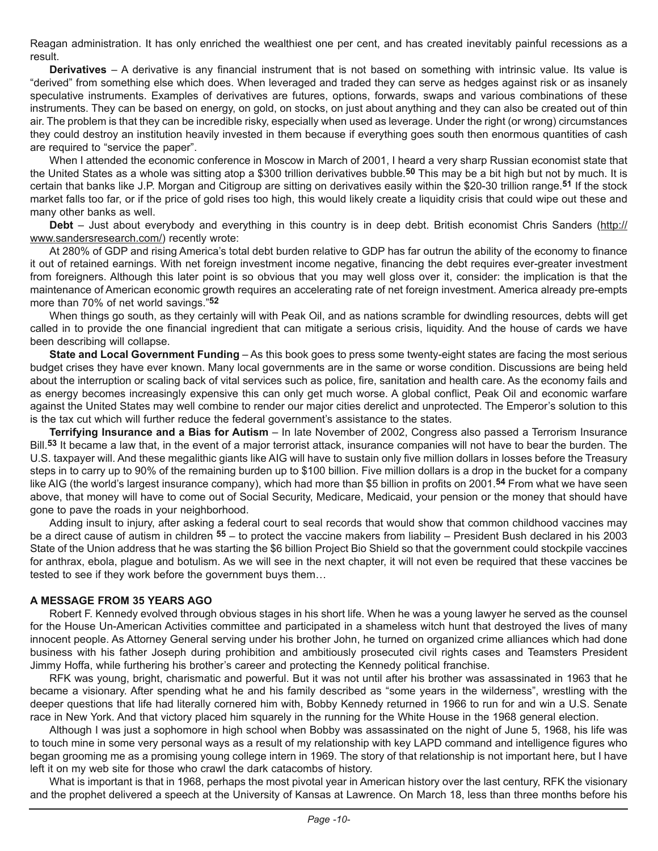Reagan administration. It has only enriched the wealthiest one per cent, and has created inevitably painful recessions as a result.

**Derivatives** – A derivative is any financial instrument that is not based on something with intrinsic value. Its value is "derived" from something else which does. When leveraged and traded they can serve as hedges against risk or as insanely speculative instruments. Examples of derivatives are futures, options, forwards, swaps and various combinations of these instruments. They can be based on energy, on gold, on stocks, on just about anything and they can also be created out of thin air. The problem is that they can be incredible risky, especially when used as leverage. Under the right (or wrong) circumstances they could destroy an institution heavily invested in them because if everything goes south then enormous quantities of cash are required to "service the paper".

When I attended the economic conference in Moscow in March of 2001, I heard a very sharp Russian economist state that the United States as a whole was sitting atop a \$300 trillion derivatives bubble.**50** This may be a bit high but not by much. It is certain that banks like J.P. Morgan and Citigroup are sitting on derivatives easily within the \$20-30 trillion range.**51** If the stock market falls too far, or if the price of gold rises too high, this would likely create a liquidity crisis that could wipe out these and many other banks as well.

**Debt** – Just about everybody and everything in this country is in deep debt. British economist Chris Sanders (http:// www.sandersresearch.com/) recently wrote:

At 280% of GDP and rising America's total debt burden relative to GDP has far outrun the ability of the economy to finance it out of retained earnings. With net foreign investment income negative, financing the debt requires ever-greater investment from foreigners. Although this later point is so obvious that you may well gloss over it, consider: the implication is that the maintenance of American economic growth requires an accelerating rate of net foreign investment. America already pre-empts more than 70% of net world savings."**52**

When things go south, as they certainly will with Peak Oil, and as nations scramble for dwindling resources, debts will get called in to provide the one financial ingredient that can mitigate a serious crisis, liquidity. And the house of cards we have been describing will collapse.

**State and Local Government Funding** – As this book goes to press some twenty-eight states are facing the most serious budget crises they have ever known. Many local governments are in the same or worse condition. Discussions are being held about the interruption or scaling back of vital services such as police, fire, sanitation and health care. As the economy fails and as energy becomes increasingly expensive this can only get much worse. A global conflict, Peak Oil and economic warfare against the United States may well combine to render our major cities derelict and unprotected. The Emperor's solution to this is the tax cut which will further reduce the federal government's assistance to the states.

**Terrifying Insurance and a Bias for Autism** – In late November of 2002, Congress also passed a Terrorism Insurance Bill.**53** It became a law that, in the event of a major terrorist attack, insurance companies will not have to bear the burden. The U.S. taxpayer will. And these megalithic giants like AIG will have to sustain only five million dollars in losses before the Treasury steps in to carry up to 90% of the remaining burden up to \$100 billion. Five million dollars is a drop in the bucket for a company like AIG (the world's largest insurance company), which had more than \$5 billion in profits on 2001.**54** From what we have seen above, that money will have to come out of Social Security, Medicare, Medicaid, your pension or the money that should have gone to pave the roads in your neighborhood.

Adding insult to injury, after asking a federal court to seal records that would show that common childhood vaccines may be a direct cause of autism in children **55** – to protect the vaccine makers from liability – President Bush declared in his 2003 State of the Union address that he was starting the \$6 billion Project Bio Shield so that the government could stockpile vaccines for anthrax, ebola, plague and botulism. As we will see in the next chapter, it will not even be required that these vaccines be tested to see if they work before the government buys them…

#### **A MESSAGE FROM 35 YEARS AGO**

Robert F. Kennedy evolved through obvious stages in his short life. When he was a young lawyer he served as the counsel for the House Un-American Activities committee and participated in a shameless witch hunt that destroyed the lives of many innocent people. As Attorney General serving under his brother John, he turned on organized crime alliances which had done business with his father Joseph during prohibition and ambitiously prosecuted civil rights cases and Teamsters President Jimmy Hoffa, while furthering his brother's career and protecting the Kennedy political franchise.

RFK was young, bright, charismatic and powerful. But it was not until after his brother was assassinated in 1963 that he became a visionary. After spending what he and his family described as "some years in the wilderness", wrestling with the deeper questions that life had literally cornered him with, Bobby Kennedy returned in 1966 to run for and win a U.S. Senate race in New York. And that victory placed him squarely in the running for the White House in the 1968 general election.

Although I was just a sophomore in high school when Bobby was assassinated on the night of June 5, 1968, his life was to touch mine in some very personal ways as a result of my relationship with key LAPD command and intelligence figures who began grooming me as a promising young college intern in 1969. The story of that relationship is not important here, but I have left it on my web site for those who crawl the dark catacombs of history.

What is important is that in 1968, perhaps the most pivotal year in American history over the last century, RFK the visionary and the prophet delivered a speech at the University of Kansas at Lawrence. On March 18, less than three months before his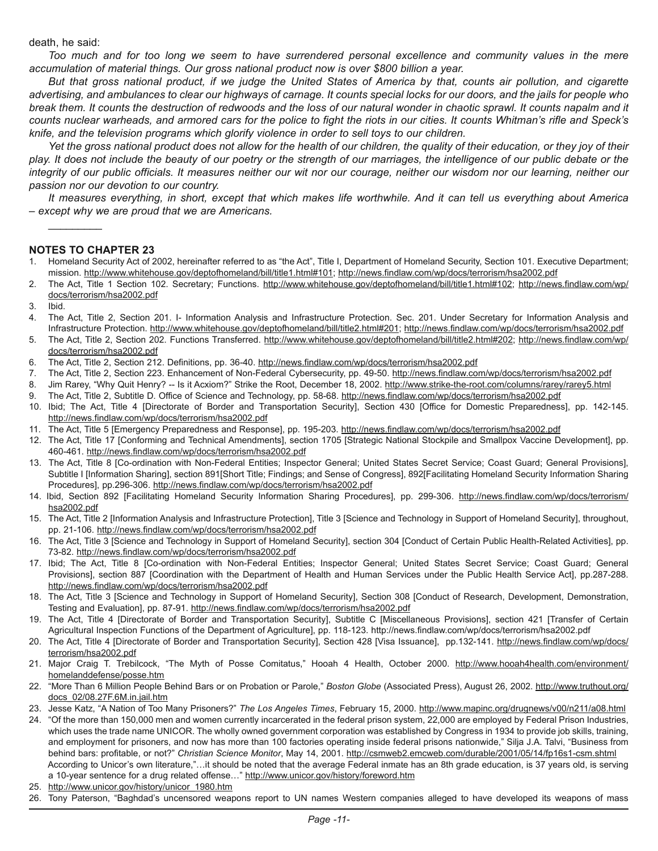#### death, he said:

*Too much and for too long we seem to have surrendered personal excellence and community values in the mere accumulation of material things. Our gross national product now is over \$800 billion a year.*

*But that gross national product, if we judge the United States of America by that, counts air pollution, and cigarette advertising, and ambulances to clear our highways of carnage. It counts special locks for our doors, and the jails for people who break them. It counts the destruction of redwoods and the loss of our natural wonder in chaotic sprawl. It counts napalm and it counts nuclear warheads, and armored cars for the police to fight the riots in our cities. It counts Whitman's rifle and Speck's knife, and the television programs which glorify violence in order to sell toys to our children.*

Yet the gross national product does not allow for the health of our children, the quality of their education, or they joy of their *play. It does not include the beauty of our poetry or the strength of our marriages, the intelligence of our public debate or the integrity of our public officials. It measures neither our wit nor our courage, neither our wisdom nor our learning, neither our passion nor our devotion to our country.*

*It measures everything, in short, except that which makes life worthwhile. And it can tell us everything about America – except why we are proud that we are Americans.* 

#### **NOTES TO CHAPTER 23**

 $\mathcal{L}$ 

- 1. Homeland Security Act of 2002, hereinafter referred to as "the Act", Title I, Department of Homeland Security, Section 101. Executive Department; mission. http://www.whitehouse.gov/deptofhomeland/bill/title1.html#101; <http://news.findlaw.com/wp/docs/terrorism/hsa2002.pdf>
- 2. The Act, Title 1 Section 102. Secretary; Functions. http://www.whitehouse.gov/deptofhomeland/bill/title1.html#102; [http://news.findlaw.com/wp/](http://news.findlaw.com/wp/docs/terrorism/hsa2002.pdf) [docs/terrorism/hsa2002.pdf](http://news.findlaw.com/wp/docs/terrorism/hsa2002.pdf)
- 3. Ibid.
- 4. The Act, Title 2, Section 201. I- Information Analysis and Infrastructure Protection. Sec. 201. Under Secretary for Information Analysis and Infrastructure Protection. http://www.whitehouse.gov/deptofhomeland/bill/title2.html#201;<http://news.findlaw.com/wp/docs/terrorism/hsa2002.pdf>
- 5. The Act, Title 2, Section 202. Functions Transferred. http://www.whitehouse.gov/deptofhomeland/bill/title2.html#202; [http://news.findlaw.com/wp/](http://news.findlaw.com/wp/docs/terrorism/hsa2002.pdf) [docs/terrorism/hsa2002.pdf](http://news.findlaw.com/wp/docs/terrorism/hsa2002.pdf)
- 6. The Act, Title 2, Section 212. Definitions, pp. 36-40.<http://news.findlaw.com/wp/docs/terrorism/hsa2002.pdf>
- 7. The Act, Title 2, Section 223. Enhancement of Non-Federal Cybersecurity, pp. 49-50. <http://news.findlaw.com/wp/docs/terrorism/hsa2002.pdf>
- 8. Jim Rarey, "Why Quit Henry? -- Is it Acxiom?" Strike the Root, December 18, 2002. http://www.strike-the-root.com/columns/rarey/rarey5.html
- 9. The Act, Title 2, Subtitle D. Office of Science and Technology, pp. 58-68. <http://news.findlaw.com/wp/docs/terrorism/hsa2002.pdf>
- 10. Ibid; The Act, Title 4 [Directorate of Border and Transportation Security], Section 430 [Office for Domestic Preparedness], pp. 142-145. <http://news.findlaw.com/wp/docs/terrorism/hsa2002.pdf>
- 11. The Act, Title 5 [Emergency Preparedness and Response], pp. 195-203. <http://news.findlaw.com/wp/docs/terrorism/hsa2002.pdf>
- 12. The Act, Title 17 [Conforming and Technical Amendments], section 1705 [Strategic National Stockpile and Smallpox Vaccine Development], pp. 460-461. <http://news.findlaw.com/wp/docs/terrorism/hsa2002.pdf>
- 13. The Act, Title 8 [Co-ordination with Non-Federal Entities; Inspector General; United States Secret Service; Coast Guard; General Provisions], Subtitle I [Information Sharing], section 891[Short Title; Findings; and Sense of Congress], 892[Facilitating Homeland Security Information Sharing Procedures], pp.296-306. <http://news.findlaw.com/wp/docs/terrorism/hsa2002.pdf>
- 14. Ibid, Section 892 [Facilitating Homeland Security Information Sharing Procedures], pp. 299-306. [http://news.findlaw.com/wp/docs/terrorism/](http://news.findlaw.com/wp/docs/terrorism/hsa2002.pdf) [hsa2002.pdf](http://news.findlaw.com/wp/docs/terrorism/hsa2002.pdf)
- 15. The Act, Title 2 [Information Analysis and Infrastructure Protection], Title 3 [Science and Technology in Support of Homeland Security], throughout, pp. 21-106.<http://news.findlaw.com/wp/docs/terrorism/hsa2002.pdf>
- 16. The Act, Title 3 [Science and Technology in Support of Homeland Security], section 304 [Conduct of Certain Public Health-Related Activities], pp. 73-82.<http://news.findlaw.com/wp/docs/terrorism/hsa2002.pdf>
- 17. Ibid; The Act, Title 8 [Co-ordination with Non-Federal Entities; Inspector General; United States Secret Service; Coast Guard; General Provisions], section 887 [Coordination with the Department of Health and Human Services under the Public Health Service Act], pp.287-288. <http://news.findlaw.com/wp/docs/terrorism/hsa2002.pdf>
- 18. The Act, Title 3 [Science and Technology in Support of Homeland Security], Section 308 [Conduct of Research, Development, Demonstration, Testing and Evaluation], pp. 87-91. <http://news.findlaw.com/wp/docs/terrorism/hsa2002.pdf>
- 19. The Act, Title 4 [Directorate of Border and Transportation Security], Subtitle C [Miscellaneous Provisions], section 421 [Transfer of Certain Agricultural Inspection Functions of the Department of Agriculture], pp. 118-123. http://news.findlaw.com/wp/docs/terrorism/hsa2002.pdf
- 20. The Act, Title 4 [Directorate of Border and Transportation Security], Section 428 [Visa Issuance], pp.132-141. [http://news.findlaw.com/wp/docs/](http://news.findlaw.com/wp/docs/terrorism/hsa2002.pdf) [terrorism/hsa2002.pdf](http://news.findlaw.com/wp/docs/terrorism/hsa2002.pdf)
- 21. Major Craig T. Trebilcock, "The Myth of Posse Comitatus," Hooah 4 Health, October 2000. http://www.hooah4health.com/environment/ homelanddefense/posse.htm
- 22. "More Than 6 Million People Behind Bars or on Probation or Parole," *Boston Globe* (Associated Press), August 26, 2002. http://www.truthout.org/ docs\_02/08.27F.6M.in.jail.htm
- 23. Jesse Katz, "A Nation of Too Many Prisoners?" *The Los Angeles Times*, February 15, 2000. http://www.mapinc.org/drugnews/v00/n211/a08.html
- 24. "Of the more than 150,000 men and women currently incarcerated in the federal prison system, 22,000 are employed by Federal Prison Industries, which uses the trade name UNICOR. The wholly owned government corporation was established by Congress in 1934 to provide job skills, training, and employment for prisoners, and now has more than 100 factories operating inside federal prisons nationwide," Silja J.A. Talvi, "Business from behind bars: profitable, or not?" *Christian Science Monitor*, May 14, 2001. http://csmweb2.emcweb.com/durable/2001/05/14/fp16s1-csm.shtml According to Unicor's own literature,"…it should be noted that the average Federal inmate has an 8th grade education, is 37 years old, is serving a 10-year sentence for a drug related offense..." http://www.unicor.gov/history/foreword.htm
- 25. http://www.unicor.gov/history/unicor\_1980.htm
- 26. Tony Paterson, "Baghdad's uncensored weapons report to UN names Western companies alleged to have developed its weapons of mass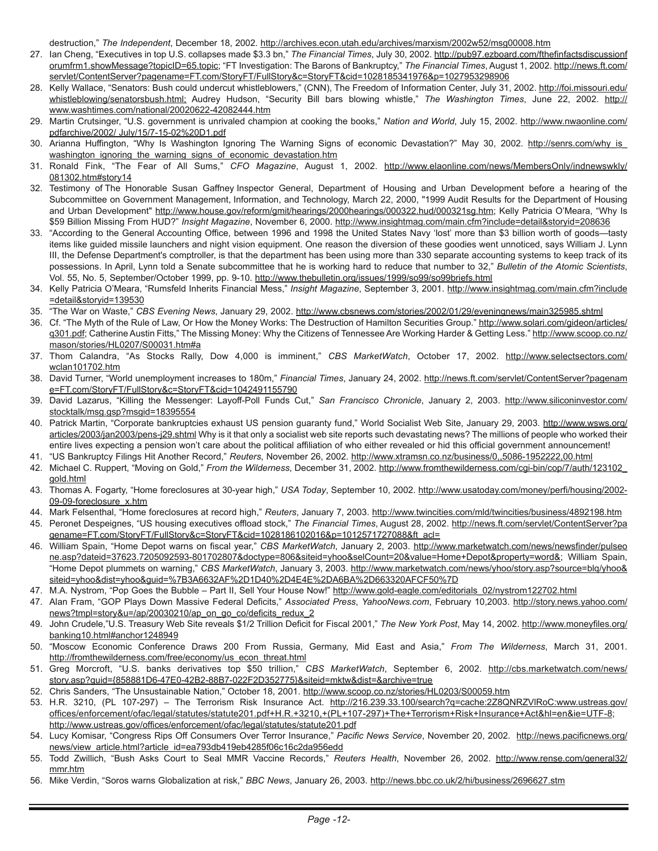destruction," *The Independent*, December 18, 2002. http://archives.econ.utah.edu/archives/marxism/2002w52/msg00008.htm

- 27. Ian Cheng, "Executives in top U.S. collapses made \$3.3 bn," *The Financial Times*, July 30, 2002. http://pub97.ezboard.com/fthefinfactsdiscussionf orumfrm1.showMessage?topicID=65.topic; "FT Investigation: The Barons of Bankruptcy," *The Financial Times*, August 1, 2002. http://news.ft.com/ servlet/ContentServer?pagename=FT.com/StoryFT/FullStory&c=StoryFT&cid=1028185341976&p=1027953298906
- 28. Kelly Wallace, "Senators: Bush could undercut whistleblowers," (CNN), The Freedom of Information Center, July 31, 2002. http://foi.missouri.edu/ whistleblowing/senatorsbush.html; Audrey Hudson, "Security Bill bars blowing whistle," *The Washington Times*, June 22, 2002. http:// www.washtimes.com/national/20020622-42082444.htm
- 29. Martin Crutsinger, "U.S. government is unrivaled champion at cooking the books," *Nation and World*, July 15, 2002. [http://www.nwaonline.com/](http://www.nwaonline.com/pdfarchive/2002/ July/15/7-15-02%20D1.pdf) [pdfarchive/2002/ July/15/7-15-02%20D1.pdf](http://www.nwaonline.com/pdfarchive/2002/ July/15/7-15-02%20D1.pdf)
- 30. Arianna Huffington, "Why Is Washington Ignoring The Warning Signs of economic Devastation?" May 30, 2002. http://senrs.com/why\_is\_ washington\_ignoring\_the\_warning\_signs\_of\_economic\_devastation.htm
- 31. Ronald Fink, "The Fear of All Sums," *CFO Magazine*, August 1, 2002. http://www.elaonline.com/news/MembersOnly/indnewswkly/ 081302.htm#story14
- 32. Testimony of The Honorable Susan Gaffney Inspector General, Department of Housing and Urban Development before a hearing of the Subcommittee on Government Management, Information, and Technology, March 22, 2000, "1999 Audit Results for the Department of Housing and Urban Development" http://www.house.gov/reform/gmit/hearings/2000hearings/000322.hud/000321sg.htm; Kelly Patricia O'Meara, "Why Is \$59 Billion Missing From HUD?" *Insight Magazine*, November 6, 2000. http://www.insightmag.com/main.cfm?include=detail&storyid=208636
- 33. "According to the General Accounting Office, between 1996 and 1998 the United States Navy 'lost' more than \$3 billion worth of goods—tasty items like guided missile launchers and night vision equipment. One reason the diversion of these goodies went unnoticed, says William J. Lynn III, the Defense Department's comptroller, is that the department has been using more than 330 separate accounting systems to keep track of its possessions. In April, Lynn told a Senate subcommittee that he is working hard to reduce that number to 32," *Bulletin of the Atomic Scientists*, Vol. 55, No. 5, September/October 1999, pp. 9-10. http://www.thebulletin.org/issues/1999/so99/so99briefs.html
- 34. Kelly Patricia O'Meara, "Rumsfeld Inherits Financial Mess," *Insight Magazine*, September 3, 2001. http://www.insightmag.com/main.cfm?include =detail&storyid=139530
- 35. "The War on Waste," *CBS Evening News*, January 29, 2002. http://www.cbsnews.com/stories/2002/01/29/eveningnews/main325985.shtml
- 36. Cf. "The Myth of the Rule of Law, Or How the Money Works: The Destruction of Hamilton Securities Group." http://www.solari.com/gideon/articles/ q301.pdf; Catherine Austin Fitts," The Missing Money: Why the Citizens of Tennessee Are Working Harder & Getting Less." http://www.scoop.co.nz/ mason/stories/HL0207/S00031.htm#a
- 37. Thom Calandra, "As Stocks Rally, Dow 4,000 is imminent," *CBS MarketWatch*, October 17, 2002. http://www.selectsectors.com/ wclan101702.htm
- 38. David Turner, "World unemployment increases to 180m," *Financial Times*, January 24, 2002. http://news.ft.com/servlet/ContentServer?pagenam e=FT.com/StoryFT/FullStory&c=StoryFT&cid=1042491155790
- 39. David Lazarus, "Killing the Messenger: Layoff-Poll Funds Cut," *San Francisco Chronicle*, January 2, 2003. http://www.siliconinvestor.com/ stocktalk/msg.gsp?msgid=18395554
- 40. Patrick Martin, "Corporate bankruptcies exhaust US pension guaranty fund," World Socialist Web Site, January 29, 2003. http://www.wsws.org/ articles/2003/jan2003/pens-j29.shtml Why is it that only a socialist web site reports such devastating news? The millions of people who worked their entire lives expecting a pension won't care about the political affiliation of who either revealed or hid this official government announcement!
- 41. "US Bankruptcy Filings Hit Another Record," *Reuters*, November 26, 2002. http://www.xtramsn.co.nz/business/0,,5086-1952222,00.html 42. Michael C. Ruppert, "Moving on Gold," *From the Wilderness*, December 31, 2002. http://www.fromthewilderness.com/cgi-bin/cop/7/auth/123102\_
- gold.html
- 43. Thomas A. Fogarty, "Home foreclosures at 30-year high," *USA Today*, September 10, 2002. http://www.usatoday.com/money/perfi/housing/2002- 09-09-foreclosure\_x.htm
- 44. Mark Felsenthal, "Home foreclosures at record high," *Reuters*, January 7, 2003. http://www.twincities.com/mld/twincities/business/4892198.htm
- 45. Peronet Despeignes, "US housing executives offload stock," *The Financial Times*, August 28, 2002. http://news.ft.com/servlet/ContentServer?pa gename=FT.com/StoryFT/FullStory&c=StoryFT&cid=1028186102016&p=1012571727088&ft\_acl=
- 46. William Spain, "Home Depot warns on fiscal year," *CBS MarketWatch*, January 2, 2003. http://www.marketwatch.com/news/newsfinder/pulseo ne.asp?dateid=37623.7205092593-801702807&doctype=806&siteid=yhoo&selCount=20&value=Home+Depot&property=word&; William Spain, "Home Depot plummets on warning," *CBS MarketWatch*, January 3, 2003. http://www.marketwatch.com/news/yhoo/story.asp?source=blq/yhoo& siteid=yhoo&dist=yhoo&guid=%7B3A6632AF%2D1D40%2D4E4E%2DA6BA%2D663320AFCF50%7D
- 47. M.A. Nystrom, "Pop Goes the Bubble Part II, Sell Your House Now!" http://www.gold-eagle.com/editorials\_02/nystrom122702.html
- 47. Alan Fram, "GOP Plays Down Massive Federal Deficits," *Associated Press*, *YahooNews.com*, February 10,2003. http://story.news.yahoo.com/ news?tmpl=story&u=/ap/20030210/ap\_on\_go\_co/deficits\_redux\_2
- 49. John Crudele,"U.S. Treasury Web Site reveals \$1/2 Trillion Deficit for Fiscal 2001," *The New York Post*, May 14, 2002. http://www.moneyfiles.org/ banking10.html#anchor1248949
- 50. "Moscow Economic Conference Draws 200 From Russia, Germany, Mid East and Asia," *From The Wilderness*, March 31, 2001. http://fromthewilderness.com/free/economy/us\_econ\_threat.html
- 51. Greg Morcroft, "U.S. banks derivatives top \$50 trillion," *CBS MarketWatch*, September 6, 2002. http://cbs.marketwatch.com/news/ story.asp?guid={858881D6-47E0-42B2-88B7-022F2D352775}&siteid=mktw&dist=&archive=true
- 52. Chris Sanders, "The Unsustainable Nation," October 18, 2001. http://www.scoop.co.nz/stories/HL0203/S00059.htm
- 53. H.R. 3210, (PL 107-297) The Terrorism Risk Insurance Act. http://216.239.33.100/search?q=cache:2Z8QNRZVlRoC:www.ustreas.gov/ offices/enforcement/ofac/legal/statutes/statute201.pdf+H.R.+3210,+(PL+107-297)+The+Terrorism+Risk+Insurance+Act&hl=en&ie=UTF-8; <http://www.ustreas.gov/offices/enforcement/ofac/legal/statutes/statute201.pdf>
- 54. Lucy Komisar, "Congress Rips Off Consumers Over Terror Insurance," *Pacific News Service*, November 20, 2002. [http://news.pacificnews.org/](http://news.pacificnews.org/news/view_article.html?article_id=ea793db419eb4285f06c16c2da956edd) [news/view\\_article.html?article\\_id=ea793db419eb4285f06c16c2da956edd](http://news.pacificnews.org/news/view_article.html?article_id=ea793db419eb4285f06c16c2da956edd)
- 55. Todd Zwillich, "Bush Asks Court to Seal MMR Vaccine Records," *Reuters Health*, November 26, 2002. http://www.rense.com/general32/ mmr.htm
- 56. Mike Verdin, "Soros warns Globalization at risk," *BBC News*, January 26, 2003. http://news.bbc.co.uk/2/hi/business/2696627.stm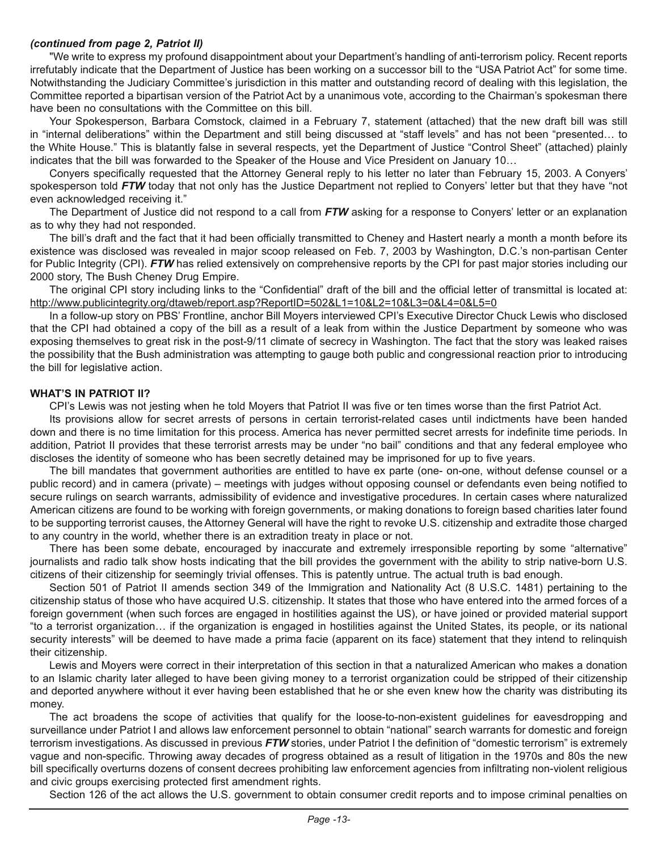#### *(continued from page 2, Patriot II)*

"We write to express my profound disappointment about your Department's handling of anti-terrorism policy. Recent reports irrefutably indicate that the Department of Justice has been working on a successor bill to the "USA Patriot Act" for some time. Notwithstanding the Judiciary Committee's jurisdiction in this matter and outstanding record of dealing with this legislation, the Committee reported a bipartisan version of the Patriot Act by a unanimous vote, according to the Chairman's spokesman there have been no consultations with the Committee on this bill.

Your Spokesperson, Barbara Comstock, claimed in a February 7, statement (attached) that the new draft bill was still in "internal deliberations" within the Department and still being discussed at "staff levels" and has not been "presented… to the White House." This is blatantly false in several respects, yet the Department of Justice "Control Sheet" (attached) plainly indicates that the bill was forwarded to the Speaker of the House and Vice President on January 10…

Conyers specifically requested that the Attorney General reply to his letter no later than February 15, 2003. A Conyers' spokesperson told **FTW** today that not only has the Justice Department not replied to Conyers' letter but that they have "not even acknowledged receiving it."

The Department of Justice did not respond to a call from *FTW* asking for a response to Conyers' letter or an explanation as to why they had not responded.

The bill's draft and the fact that it had been officially transmitted to Cheney and Hastert nearly a month a month before its existence was disclosed was revealed in major scoop released on Feb. 7, 2003 by Washington, D.C.'s non-partisan Center for Public Integrity (CPI). *FTW* has relied extensively on comprehensive reports by the CPI for past major stories including our 2000 story, The Bush Cheney Drug Empire.

The original CPI story including links to the "Confidential" draft of the bill and the official letter of transmittal is located at: http://www.publicintegrity.org/dtaweb/report.asp?ReportID=502&L1=10&L2=10&L3=0&L4=0&L5=0

In a follow-up story on PBS' Frontline, anchor Bill Moyers interviewed CPI's Executive Director Chuck Lewis who disclosed that the CPI had obtained a copy of the bill as a result of a leak from within the Justice Department by someone who was exposing themselves to great risk in the post-9/11 climate of secrecy in Washington. The fact that the story was leaked raises the possibility that the Bush administration was attempting to gauge both public and congressional reaction prior to introducing the bill for legislative action.

#### **WHAT'S IN PATRIOT II?**

CPI's Lewis was not jesting when he told Moyers that Patriot II was five or ten times worse than the first Patriot Act.

Its provisions allow for secret arrests of persons in certain terrorist-related cases until indictments have been handed down and there is no time limitation for this process. America has never permitted secret arrests for indefinite time periods. In addition, Patriot II provides that these terrorist arrests may be under "no bail" conditions and that any federal employee who discloses the identity of someone who has been secretly detained may be imprisoned for up to five years.

The bill mandates that government authorities are entitled to have ex parte (one- on-one, without defense counsel or a public record) and in camera (private) – meetings with judges without opposing counsel or defendants even being notified to secure rulings on search warrants, admissibility of evidence and investigative procedures. In certain cases where naturalized American citizens are found to be working with foreign governments, or making donations to foreign based charities later found to be supporting terrorist causes, the Attorney General will have the right to revoke U.S. citizenship and extradite those charged to any country in the world, whether there is an extradition treaty in place or not.

There has been some debate, encouraged by inaccurate and extremely irresponsible reporting by some "alternative" journalists and radio talk show hosts indicating that the bill provides the government with the ability to strip native-born U.S. citizens of their citizenship for seemingly trivial offenses. This is patently untrue. The actual truth is bad enough.

Section 501 of Patriot II amends section 349 of the Immigration and Nationality Act (8 U.S.C. 1481) pertaining to the citizenship status of those who have acquired U.S. citizenship. It states that those who have entered into the armed forces of a foreign government (when such forces are engaged in hostilities against the US), or have joined or provided material support "to a terrorist organization… if the organization is engaged in hostilities against the United States, its people, or its national security interests" will be deemed to have made a prima facie (apparent on its face) statement that they intend to relinquish their citizenship.

Lewis and Moyers were correct in their interpretation of this section in that a naturalized American who makes a donation to an Islamic charity later alleged to have been giving money to a terrorist organization could be stripped of their citizenship and deported anywhere without it ever having been established that he or she even knew how the charity was distributing its money.

The act broadens the scope of activities that qualify for the loose-to-non-existent guidelines for eavesdropping and surveillance under Patriot I and allows law enforcement personnel to obtain "national" search warrants for domestic and foreign terrorism investigations. As discussed in previous *FTW* stories, under Patriot I the definition of "domestic terrorism" is extremely vague and non-specific. Throwing away decades of progress obtained as a result of litigation in the 1970s and 80s the new bill specifically overturns dozens of consent decrees prohibiting law enforcement agencies from infiltrating non-violent religious and civic groups exercising protected first amendment rights.

Section 126 of the act allows the U.S. government to obtain consumer credit reports and to impose criminal penalties on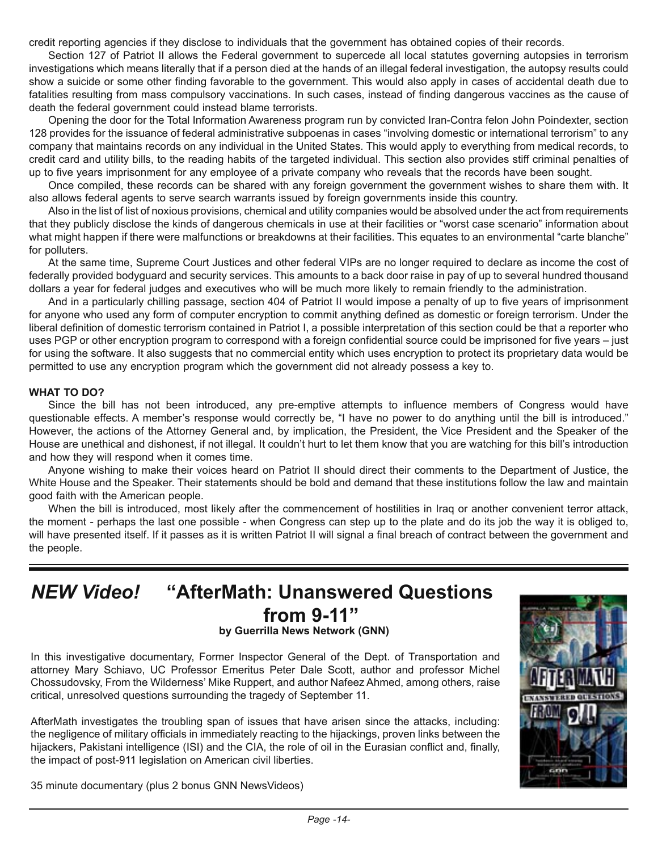credit reporting agencies if they disclose to individuals that the government has obtained copies of their records.

Section 127 of Patriot II allows the Federal government to supercede all local statutes governing autopsies in terrorism investigations which means literally that if a person died at the hands of an illegal federal investigation, the autopsy results could show a suicide or some other finding favorable to the government. This would also apply in cases of accidental death due to fatalities resulting from mass compulsory vaccinations. In such cases, instead of finding dangerous vaccines as the cause of death the federal government could instead blame terrorists.

Opening the door for the Total Information Awareness program run by convicted Iran-Contra felon John Poindexter, section 128 provides for the issuance of federal administrative subpoenas in cases "involving domestic or international terrorism" to any company that maintains records on any individual in the United States. This would apply to everything from medical records, to credit card and utility bills, to the reading habits of the targeted individual. This section also provides stiff criminal penalties of up to five years imprisonment for any employee of a private company who reveals that the records have been sought.

Once compiled, these records can be shared with any foreign government the government wishes to share them with. It also allows federal agents to serve search warrants issued by foreign governments inside this country.

Also in the list of list of noxious provisions, chemical and utility companies would be absolved under the act from requirements that they publicly disclose the kinds of dangerous chemicals in use at their facilities or "worst case scenario" information about what might happen if there were malfunctions or breakdowns at their facilities. This equates to an environmental "carte blanche" for polluters.

At the same time, Supreme Court Justices and other federal VIPs are no longer required to declare as income the cost of federally provided bodyguard and security services. This amounts to a back door raise in pay of up to several hundred thousand dollars a year for federal judges and executives who will be much more likely to remain friendly to the administration.

And in a particularly chilling passage, section 404 of Patriot II would impose a penalty of up to five years of imprisonment for anyone who used any form of computer encryption to commit anything defined as domestic or foreign terrorism. Under the liberal definition of domestic terrorism contained in Patriot I, a possible interpretation of this section could be that a reporter who uses PGP or other encryption program to correspond with a foreign confidential source could be imprisoned for five years – just for using the software. It also suggests that no commercial entity which uses encryption to protect its proprietary data would be permitted to use any encryption program which the government did not already possess a key to.

#### **WHAT TO DO?**

Since the bill has not been introduced, any pre-emptive attempts to influence members of Congress would have questionable effects. A member's response would correctly be, "I have no power to do anything until the bill is introduced." However, the actions of the Attorney General and, by implication, the President, the Vice President and the Speaker of the House are unethical and dishonest, if not illegal. It couldn't hurt to let them know that you are watching for this bill's introduction and how they will respond when it comes time.

Anyone wishing to make their voices heard on Patriot II should direct their comments to the Department of Justice, the White House and the Speaker. Their statements should be bold and demand that these institutions follow the law and maintain good faith with the American people.

When the bill is introduced, most likely after the commencement of hostilities in Iraq or another convenient terror attack, the moment - perhaps the last one possible - when Congress can step up to the plate and do its job the way it is obliged to, will have presented itself. If it passes as it is written Patriot II will signal a final breach of contract between the government and the people.

### *NEW Video!* **"AfterMath: Unanswered Questions from 9-11" by Guerrilla News Network (GNN)**

In this investigative documentary, Former Inspector General of the Dept. of Transportation and attorney Mary Schiavo, UC Professor Emeritus Peter Dale Scott, author and professor Michel Chossudovsky, From the Wilderness' Mike Ruppert, and author Nafeez Ahmed, among others, raise critical, unresolved questions surrounding the tragedy of September 11.

AfterMath investigates the troubling span of issues that have arisen since the attacks, including: the negligence of military officials in immediately reacting to the hijackings, proven links between the hijackers, Pakistani intelligence (ISI) and the CIA, the role of oil in the Eurasian conflict and, finally, the impact of post-911 legislation on American civil liberties.



35 minute documentary (plus 2 bonus GNN NewsVideos)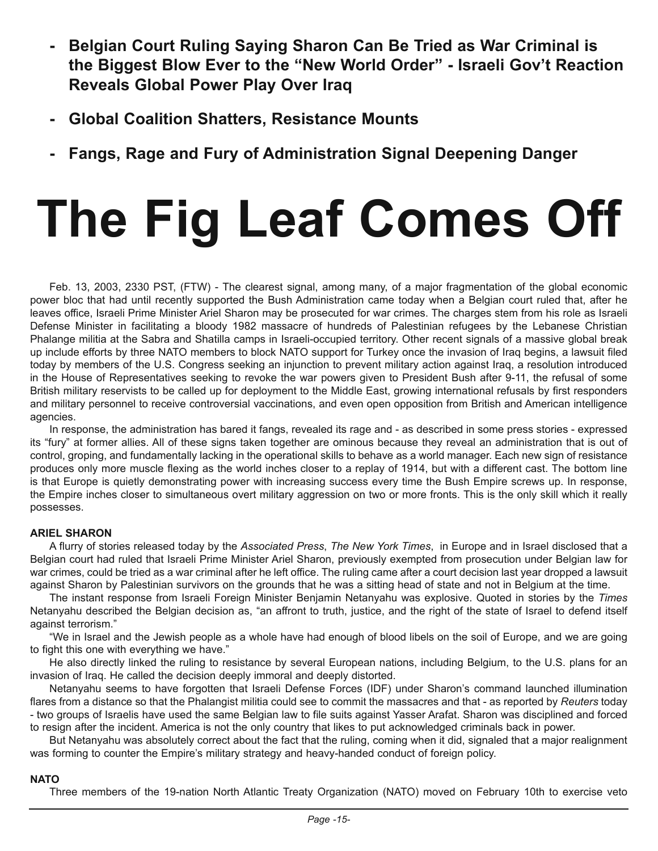- **- Belgian Court Ruling Saying Sharon Can Be Tried as War Criminal is the Biggest Blow Ever to the "New World Order" - Israeli Gov't Reaction Reveals Global Power Play Over Iraq**
- **- Global Coalition Shatters, Resistance Mounts**
- **- Fangs, Rage and Fury of Administration Signal Deepening Danger**

# **The Fig Leaf Comes Off**

Feb. 13, 2003, 2330 PST, (FTW) - The clearest signal, among many, of a major fragmentation of the global economic power bloc that had until recently supported the Bush Administration came today when a Belgian court ruled that, after he leaves office, Israeli Prime Minister Ariel Sharon may be prosecuted for war crimes. The charges stem from his role as Israeli Defense Minister in facilitating a bloody 1982 massacre of hundreds of Palestinian refugees by the Lebanese Christian Phalange militia at the Sabra and Shatilla camps in Israeli-occupied territory. Other recent signals of a massive global break up include efforts by three NATO members to block NATO support for Turkey once the invasion of Iraq begins, a lawsuit filed today by members of the U.S. Congress seeking an injunction to prevent military action against Iraq, a resolution introduced in the House of Representatives seeking to revoke the war powers given to President Bush after 9-11, the refusal of some British military reservists to be called up for deployment to the Middle East, growing international refusals by first responders and military personnel to receive controversial vaccinations, and even open opposition from British and American intelligence agencies.

In response, the administration has bared it fangs, revealed its rage and - as described in some press stories - expressed its "fury" at former allies. All of these signs taken together are ominous because they reveal an administration that is out of control, groping, and fundamentally lacking in the operational skills to behave as a world manager. Each new sign of resistance produces only more muscle flexing as the world inches closer to a replay of 1914, but with a different cast. The bottom line is that Europe is quietly demonstrating power with increasing success every time the Bush Empire screws up. In response, the Empire inches closer to simultaneous overt military aggression on two or more fronts. This is the only skill which it really possesses.

#### **ARIEL SHARON**

A flurry of stories released today by the *Associated Press*, *The New York Times*, in Europe and in Israel disclosed that a Belgian court had ruled that Israeli Prime Minister Ariel Sharon, previously exempted from prosecution under Belgian law for war crimes, could be tried as a war criminal after he left office. The ruling came after a court decision last year dropped a lawsuit against Sharon by Palestinian survivors on the grounds that he was a sitting head of state and not in Belgium at the time.

The instant response from Israeli Foreign Minister Benjamin Netanyahu was explosive. Quoted in stories by the *Times*  Netanyahu described the Belgian decision as, "an affront to truth, justice, and the right of the state of Israel to defend itself against terrorism."

"We in Israel and the Jewish people as a whole have had enough of blood libels on the soil of Europe, and we are going to fight this one with everything we have."

He also directly linked the ruling to resistance by several European nations, including Belgium, to the U.S. plans for an invasion of Iraq. He called the decision deeply immoral and deeply distorted.

Netanyahu seems to have forgotten that Israeli Defense Forces (IDF) under Sharon's command launched illumination flares from a distance so that the Phalangist militia could see to commit the massacres and that - as reported by *Reuters* today - two groups of Israelis have used the same Belgian law to file suits against Yasser Arafat. Sharon was disciplined and forced to resign after the incident. America is not the only country that likes to put acknowledged criminals back in power.

But Netanyahu was absolutely correct about the fact that the ruling, coming when it did, signaled that a major realignment was forming to counter the Empire's military strategy and heavy-handed conduct of foreign policy.

#### **NATO**

Three members of the 19-nation North Atlantic Treaty Organization (NATO) moved on February 10th to exercise veto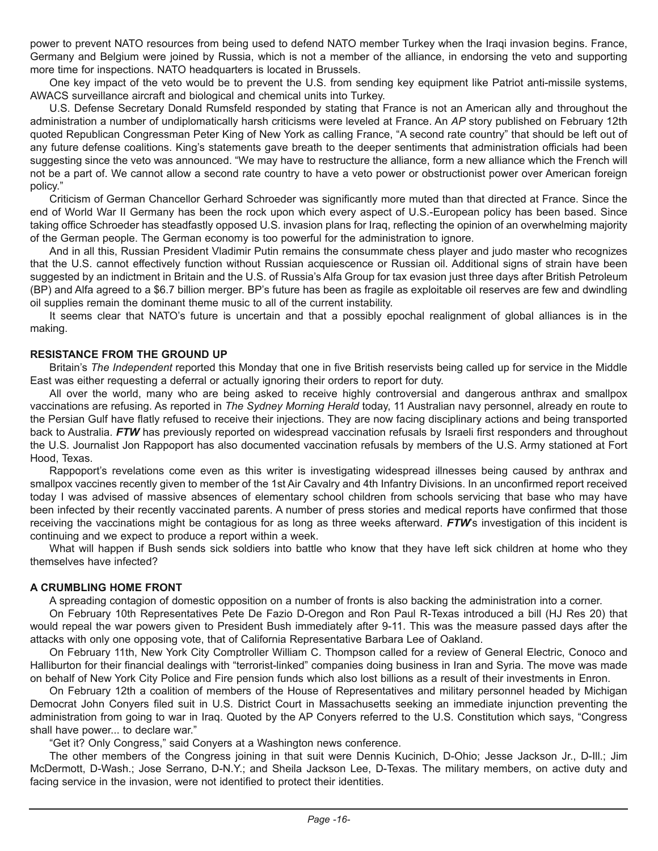power to prevent NATO resources from being used to defend NATO member Turkey when the Iraqi invasion begins. France, Germany and Belgium were joined by Russia, which is not a member of the alliance, in endorsing the veto and supporting more time for inspections. NATO headquarters is located in Brussels.

One key impact of the veto would be to prevent the U.S. from sending key equipment like Patriot anti-missile systems, AWACS surveillance aircraft and biological and chemical units into Turkey.

U.S. Defense Secretary Donald Rumsfeld responded by stating that France is not an American ally and throughout the administration a number of undiplomatically harsh criticisms were leveled at France. An *AP* story published on February 12th quoted Republican Congressman Peter King of New York as calling France, "A second rate country" that should be left out of any future defense coalitions. King's statements gave breath to the deeper sentiments that administration officials had been suggesting since the veto was announced. "We may have to restructure the alliance, form a new alliance which the French will not be a part of. We cannot allow a second rate country to have a veto power or obstructionist power over American foreign policy."

Criticism of German Chancellor Gerhard Schroeder was significantly more muted than that directed at France. Since the end of World War II Germany has been the rock upon which every aspect of U.S.-European policy has been based. Since taking office Schroeder has steadfastly opposed U.S. invasion plans for Iraq, reflecting the opinion of an overwhelming majority of the German people. The German economy is too powerful for the administration to ignore.

And in all this, Russian President Vladimir Putin remains the consummate chess player and judo master who recognizes that the U.S. cannot effectively function without Russian acquiescence or Russian oil. Additional signs of strain have been suggested by an indictment in Britain and the U.S. of Russia's Alfa Group for tax evasion just three days after British Petroleum (BP) and Alfa agreed to a \$6.7 billion merger. BP's future has been as fragile as exploitable oil reserves are few and dwindling oil supplies remain the dominant theme music to all of the current instability.

It seems clear that NATO's future is uncertain and that a possibly epochal realignment of global alliances is in the making.

#### **RESISTANCE FROM THE GROUND UP**

Britain's *The Independent* reported this Monday that one in five British reservists being called up for service in the Middle East was either requesting a deferral or actually ignoring their orders to report for duty.

All over the world, many who are being asked to receive highly controversial and dangerous anthrax and smallpox vaccinations are refusing. As reported in *The Sydney Morning Herald* today, 11 Australian navy personnel, already en route to the Persian Gulf have flatly refused to receive their injections. They are now facing disciplinary actions and being transported back to Australia. *FTW* has previously reported on widespread vaccination refusals by Israeli first responders and throughout the U.S. Journalist Jon Rappoport has also documented vaccination refusals by members of the U.S. Army stationed at Fort Hood, Texas.

Rappoport's revelations come even as this writer is investigating widespread illnesses being caused by anthrax and smallpox vaccines recently given to member of the 1st Air Cavalry and 4th Infantry Divisions. In an unconfirmed report received today I was advised of massive absences of elementary school children from schools servicing that base who may have been infected by their recently vaccinated parents. A number of press stories and medical reports have confirmed that those receiving the vaccinations might be contagious for as long as three weeks afterward. **FTW**'s investigation of this incident is continuing and we expect to produce a report within a week.

What will happen if Bush sends sick soldiers into battle who know that they have left sick children at home who they themselves have infected?

#### **A CRUMBLING HOME FRONT**

A spreading contagion of domestic opposition on a number of fronts is also backing the administration into a corner.

On February 10th Representatives Pete De Fazio D-Oregon and Ron Paul R-Texas introduced a bill (HJ Res 20) that would repeal the war powers given to President Bush immediately after 9-11. This was the measure passed days after the attacks with only one opposing vote, that of California Representative Barbara Lee of Oakland.

On February 11th, New York City Comptroller William C. Thompson called for a review of General Electric, Conoco and Halliburton for their financial dealings with "terrorist-linked" companies doing business in Iran and Syria. The move was made on behalf of New York City Police and Fire pension funds which also lost billions as a result of their investments in Enron.

On February 12th a coalition of members of the House of Representatives and military personnel headed by Michigan Democrat John Conyers filed suit in U.S. District Court in Massachusetts seeking an immediate injunction preventing the administration from going to war in Iraq. Quoted by the AP Conyers referred to the U.S. Constitution which says, "Congress shall have power... to declare war."

"Get it? Only Congress," said Conyers at a Washington news conference.

The other members of the Congress joining in that suit were Dennis Kucinich, D-Ohio; Jesse Jackson Jr., D-Ill.; Jim McDermott, D-Wash.; Jose Serrano, D-N.Y.; and Sheila Jackson Lee, D-Texas. The military members, on active duty and facing service in the invasion, were not identified to protect their identities.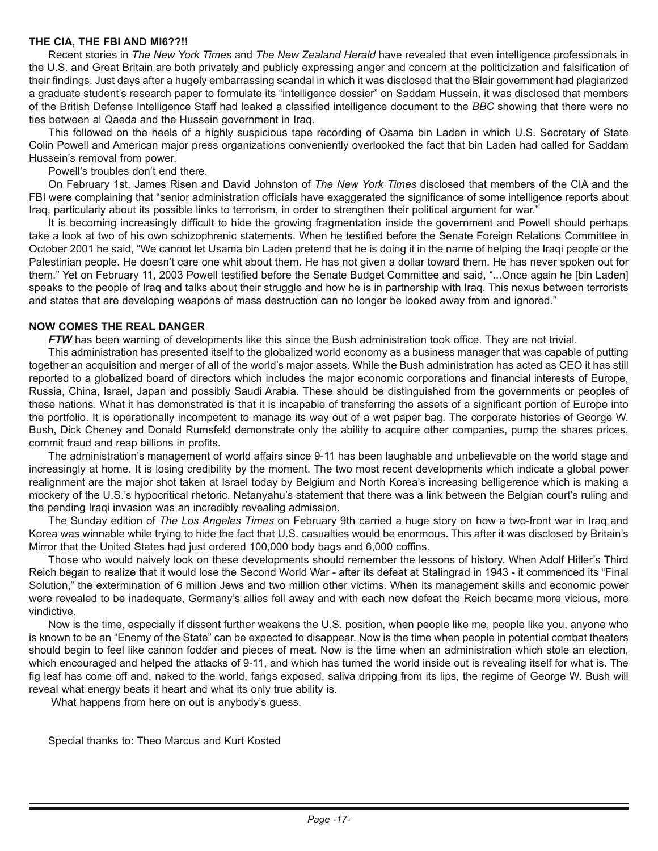#### **THE CIA, THE FBI AND MI6??!!**

Recent stories in *The New York Times* and *The New Zealand Herald* have revealed that even intelligence professionals in the U.S. and Great Britain are both privately and publicly expressing anger and concern at the politicization and falsification of their findings. Just days after a hugely embarrassing scandal in which it was disclosed that the Blair government had plagiarized a graduate student's research paper to formulate its "intelligence dossier" on Saddam Hussein, it was disclosed that members of the British Defense Intelligence Staff had leaked a classified intelligence document to the *BBC* showing that there were no ties between al Qaeda and the Hussein government in Iraq.

This followed on the heels of a highly suspicious tape recording of Osama bin Laden in which U.S. Secretary of State Colin Powell and American major press organizations conveniently overlooked the fact that bin Laden had called for Saddam Hussein's removal from power.

Powell's troubles don't end there.

On February 1st, James Risen and David Johnston of *The New York Times* disclosed that members of the CIA and the FBI were complaining that "senior administration officials have exaggerated the significance of some intelligence reports about Iraq, particularly about its possible links to terrorism, in order to strengthen their political argument for war."

It is becoming increasingly difficult to hide the growing fragmentation inside the government and Powell should perhaps take a look at two of his own schizophrenic statements. When he testified before the Senate Foreign Relations Committee in October 2001 he said, "We cannot let Usama bin Laden pretend that he is doing it in the name of helping the Iraqi people or the Palestinian people. He doesn't care one whit about them. He has not given a dollar toward them. He has never spoken out for them." Yet on February 11, 2003 Powell testified before the Senate Budget Committee and said, "...Once again he [bin Laden] speaks to the people of Iraq and talks about their struggle and how he is in partnership with Iraq. This nexus between terrorists and states that are developing weapons of mass destruction can no longer be looked away from and ignored."

#### **NOW COMES THE REAL DANGER**

*FTW* has been warning of developments like this since the Bush administration took office. They are not trivial.

This administration has presented itself to the globalized world economy as a business manager that was capable of putting together an acquisition and merger of all of the world's major assets. While the Bush administration has acted as CEO it has still reported to a globalized board of directors which includes the major economic corporations and financial interests of Europe, Russia, China, Israel, Japan and possibly Saudi Arabia. These should be distinguished from the governments or peoples of these nations. What it has demonstrated is that it is incapable of transferring the assets of a significant portion of Europe into the portfolio. It is operationally incompetent to manage its way out of a wet paper bag. The corporate histories of George W. Bush, Dick Cheney and Donald Rumsfeld demonstrate only the ability to acquire other companies, pump the shares prices, commit fraud and reap billions in profits.

The administration's management of world affairs since 9-11 has been laughable and unbelievable on the world stage and increasingly at home. It is losing credibility by the moment. The two most recent developments which indicate a global power realignment are the major shot taken at Israel today by Belgium and North Korea's increasing belligerence which is making a mockery of the U.S.'s hypocritical rhetoric. Netanyahu's statement that there was a link between the Belgian court's ruling and the pending Iraqi invasion was an incredibly revealing admission.

The Sunday edition of *The Los Angeles Times* on February 9th carried a huge story on how a two-front war in Iraq and Korea was winnable while trying to hide the fact that U.S. casualties would be enormous. This after it was disclosed by Britain's Mirror that the United States had just ordered 100,000 body bags and 6,000 coffins.

Those who would naively look on these developments should remember the lessons of history. When Adolf Hitler's Third Reich began to realize that it would lose the Second World War - after its defeat at Stalingrad in 1943 - it commenced its "Final Solution," the extermination of 6 million Jews and two million other victims. When its management skills and economic power were revealed to be inadequate, Germany's allies fell away and with each new defeat the Reich became more vicious, more vindictive.

Now is the time, especially if dissent further weakens the U.S. position, when people like me, people like you, anyone who is known to be an "Enemy of the State" can be expected to disappear. Now is the time when people in potential combat theaters should begin to feel like cannon fodder and pieces of meat. Now is the time when an administration which stole an election, which encouraged and helped the attacks of 9-11, and which has turned the world inside out is revealing itself for what is. The fig leaf has come off and, naked to the world, fangs exposed, saliva dripping from its lips, the regime of George W. Bush will reveal what energy beats it heart and what its only true ability is.

What happens from here on out is anybody's guess.

Special thanks to: Theo Marcus and Kurt Kosted